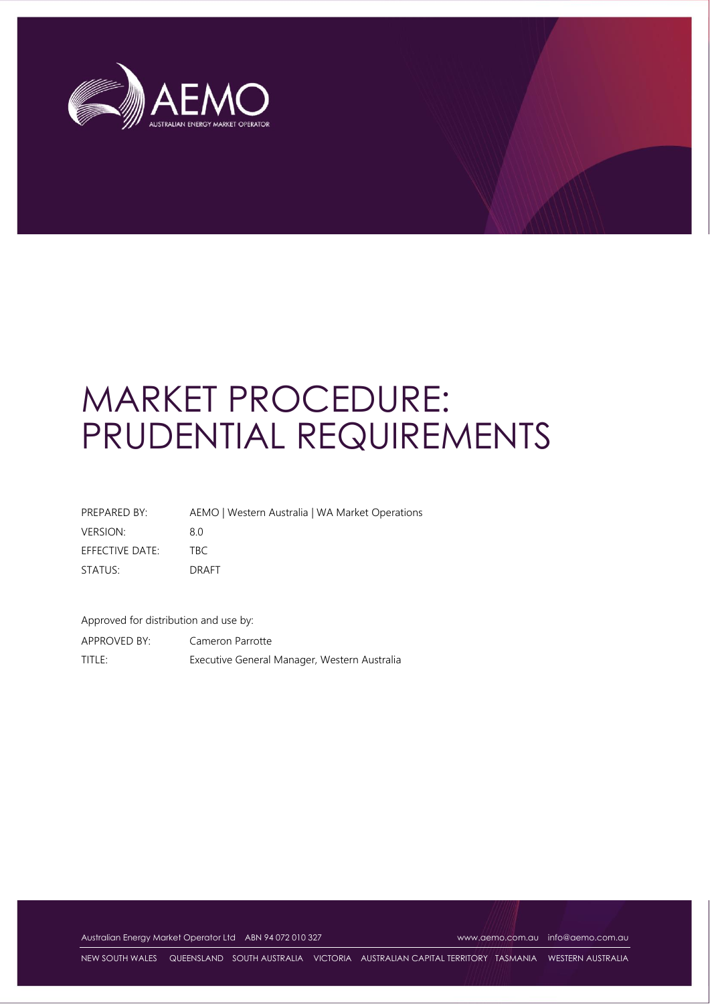

# MARKET PROCEDURE: PRUDENTIAL REQUIREMENTS

| PREPARED BY:    | AEMO   Western Australia   WA Market Operations |
|-----------------|-------------------------------------------------|
| <b>VERSION:</b> | 80                                              |
| EFFECTIVE DATE: | TRC.                                            |
| STATUS:         | <b>DRAFT</b>                                    |

Approved for distribution and use by:

APPROVED BY: Cameron Parrotte TITLE: Executive General Manager, Western Australia

Australian Energy Market Operator Ltd ABN 94 072 010 327 [www.aemo.com.au](http://www.aemo.com.au/) [info@aemo.com.au](mailto:info@aemo.com.au)

NEW SOUTH WALES QUEENSLAND SOUTH AUSTRALIA VICTORIA AUSTRALIAN CAPITAL TERRITORY TASMANIA WESTERN AUSTRALIA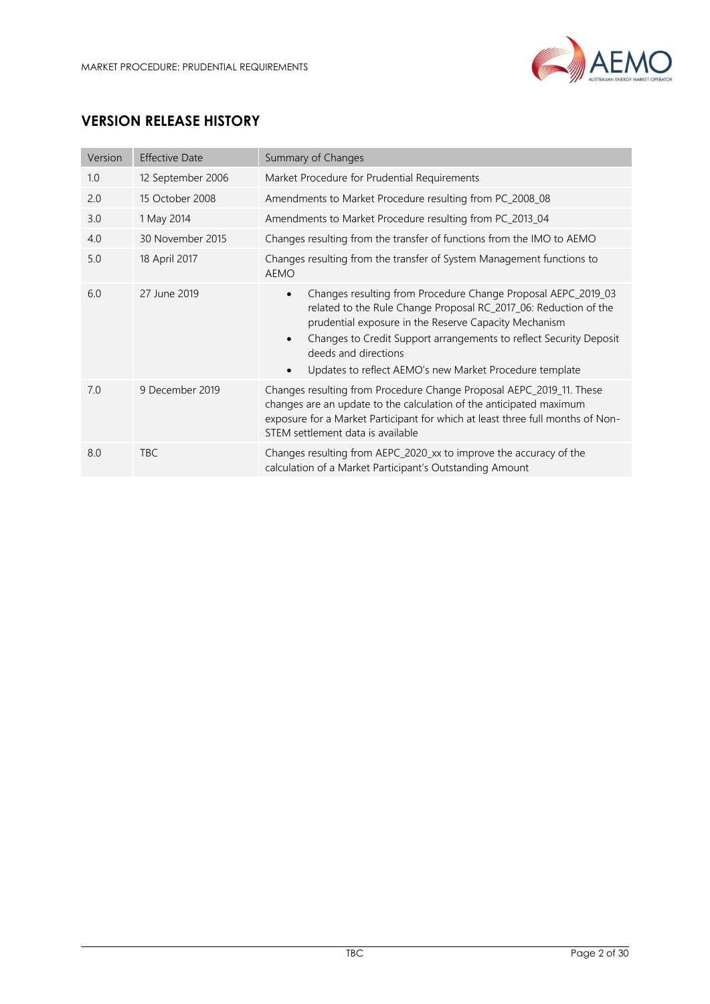

# **VERSION RELEASE HISTORY**

| Version | <b>Effective Date</b> | Summary of Changes                                                                                                                                                                                                                                                                                                                                               |  |
|---------|-----------------------|------------------------------------------------------------------------------------------------------------------------------------------------------------------------------------------------------------------------------------------------------------------------------------------------------------------------------------------------------------------|--|
| 1.0     | 12 September 2006     | Market Procedure for Prudential Requirements                                                                                                                                                                                                                                                                                                                     |  |
| 2.0     | 15 October 2008       | Amendments to Market Procedure resulting from PC_2008_08                                                                                                                                                                                                                                                                                                         |  |
| 3.0     | 1 May 2014            | Amendments to Market Procedure resulting from PC_2013_04                                                                                                                                                                                                                                                                                                         |  |
| 4.0     | 30 November 2015      | Changes resulting from the transfer of functions from the IMO to AEMO                                                                                                                                                                                                                                                                                            |  |
| 5.0     | 18 April 2017         | Changes resulting from the transfer of System Management functions to<br><b>AEMO</b>                                                                                                                                                                                                                                                                             |  |
| 6.0     | 27 June 2019          | Changes resulting from Procedure Change Proposal AEPC_2019_03<br>$\bullet$<br>related to the Rule Change Proposal RC_2017_06: Reduction of the<br>prudential exposure in the Reserve Capacity Mechanism<br>Changes to Credit Support arrangements to reflect Security Deposit<br>deeds and directions<br>Updates to reflect AEMO's new Market Procedure template |  |
| 7.0     | 9 December 2019       | Changes resulting from Procedure Change Proposal AEPC_2019_11. These<br>changes are an update to the calculation of the anticipated maximum<br>exposure for a Market Participant for which at least three full months of Non-<br>STEM settlement data is available                                                                                               |  |
| 8.0     | <b>TBC</b>            | Changes resulting from AEPC_2020_xx to improve the accuracy of the<br>calculation of a Market Participant's Outstanding Amount                                                                                                                                                                                                                                   |  |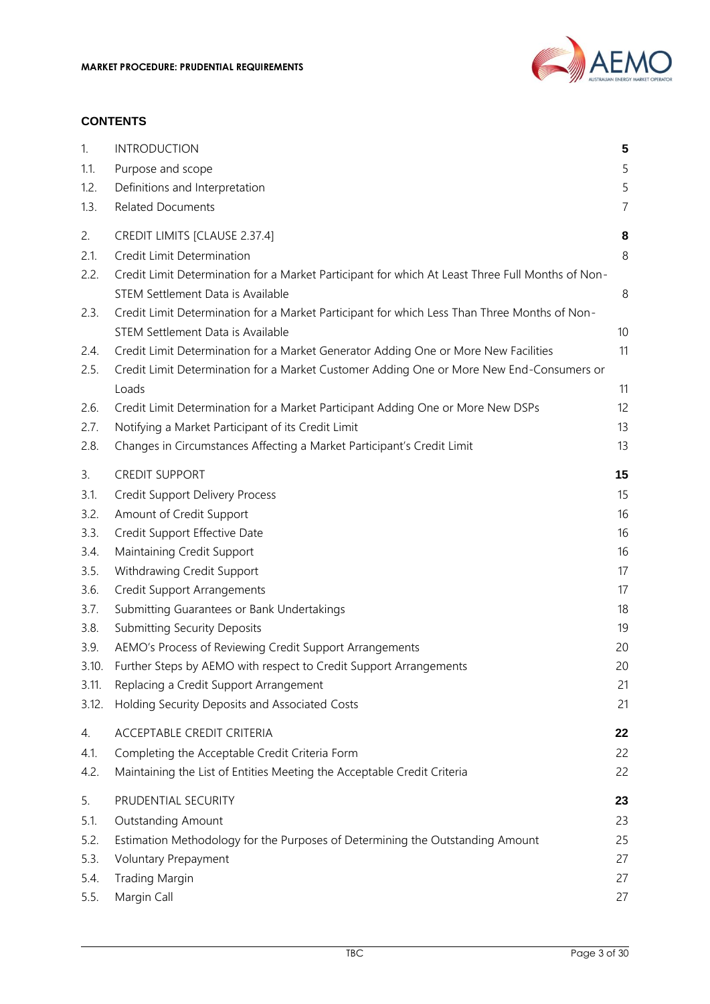

#### **CONTENTS**

| 1.<br>1.1.   | <b>INTRODUCTION</b><br>Purpose and scope                                                                                                                                        | 5<br>5              |
|--------------|---------------------------------------------------------------------------------------------------------------------------------------------------------------------------------|---------------------|
| 1.2.<br>1.3. | Definitions and Interpretation<br><b>Related Documents</b>                                                                                                                      | 5<br>$\overline{7}$ |
| 2.<br>2.1.   | CREDIT LIMITS [CLAUSE 2.37.4]<br>Credit Limit Determination                                                                                                                     | 8<br>8              |
| 2.2.         | Credit Limit Determination for a Market Participant for which At Least Three Full Months of Non-<br>STEM Settlement Data is Available                                           | 8                   |
| 2.3.         | Credit Limit Determination for a Market Participant for which Less Than Three Months of Non-<br>STEM Settlement Data is Available                                               | 10                  |
| 2.4.<br>2.5. | Credit Limit Determination for a Market Generator Adding One or More New Facilities<br>Credit Limit Determination for a Market Customer Adding One or More New End-Consumers or | 11                  |
|              | Loads                                                                                                                                                                           | 11                  |
| 2.6.<br>2.7. | Credit Limit Determination for a Market Participant Adding One or More New DSPs<br>Notifying a Market Participant of its Credit Limit                                           | 12<br>13            |
| 2.8.         | Changes in Circumstances Affecting a Market Participant's Credit Limit                                                                                                          | 13                  |
| 3.           | <b>CREDIT SUPPORT</b>                                                                                                                                                           | 15                  |
| 3.1.         | <b>Credit Support Delivery Process</b>                                                                                                                                          | 15                  |
| 3.2.         | Amount of Credit Support                                                                                                                                                        | 16                  |
| 3.3.         | Credit Support Effective Date                                                                                                                                                   | 16                  |
| 3.4.         | Maintaining Credit Support                                                                                                                                                      | 16                  |
| 3.5.         | Withdrawing Credit Support                                                                                                                                                      | 17                  |
| 3.6.         | <b>Credit Support Arrangements</b>                                                                                                                                              | 17                  |
| 3.7.         | Submitting Guarantees or Bank Undertakings                                                                                                                                      | 18                  |
| 3.8.         | <b>Submitting Security Deposits</b>                                                                                                                                             | 19                  |
| 3.9.         | AEMO's Process of Reviewing Credit Support Arrangements                                                                                                                         | 20                  |
| 3.10.        | Further Steps by AEMO with respect to Credit Support Arrangements                                                                                                               | 20                  |
| 3.11.        | Replacing a Credit Support Arrangement                                                                                                                                          | 21                  |
| 3.12.        | Holding Security Deposits and Associated Costs                                                                                                                                  | 21                  |
| 4.           | ACCEPTABLE CREDIT CRITERIA                                                                                                                                                      | 22                  |
| 4.1.         | Completing the Acceptable Credit Criteria Form                                                                                                                                  | 22                  |
| 4.2.         | Maintaining the List of Entities Meeting the Acceptable Credit Criteria                                                                                                         | 22                  |
| 5.           | PRUDENTIAL SECURITY                                                                                                                                                             | 23                  |
| 5.1.         | <b>Outstanding Amount</b>                                                                                                                                                       | 23                  |
| 5.2.         | Estimation Methodology for the Purposes of Determining the Outstanding Amount                                                                                                   | 25                  |
| 5.3.         | Voluntary Prepayment                                                                                                                                                            | 27                  |
| 5.4.         | <b>Trading Margin</b>                                                                                                                                                           | 27                  |
| 5.5.         | Margin Call                                                                                                                                                                     | 27                  |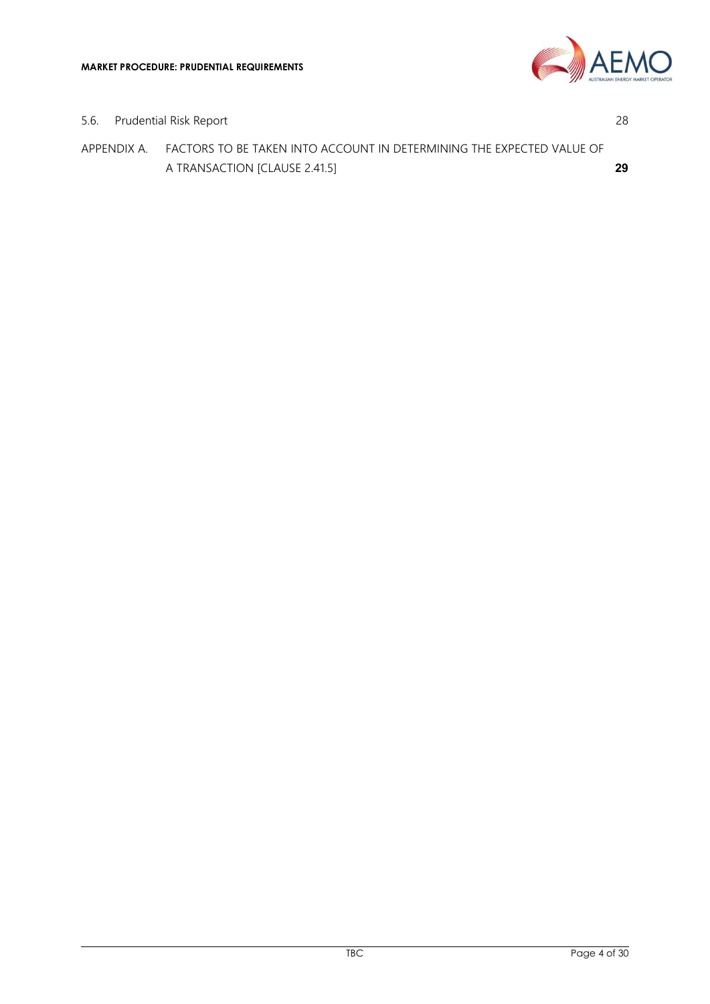

5.6. [Prudential Risk Report](#page-27-0) 28 APPENDIX A. [FACTORS TO BE TAKEN INTO ACCOUNT IN DETERMINING THE EXPECTED](#page-28-0) VALUE OF

[A TRANSACTION \[CLAUSE 2.41.5\]](#page-28-0) **29**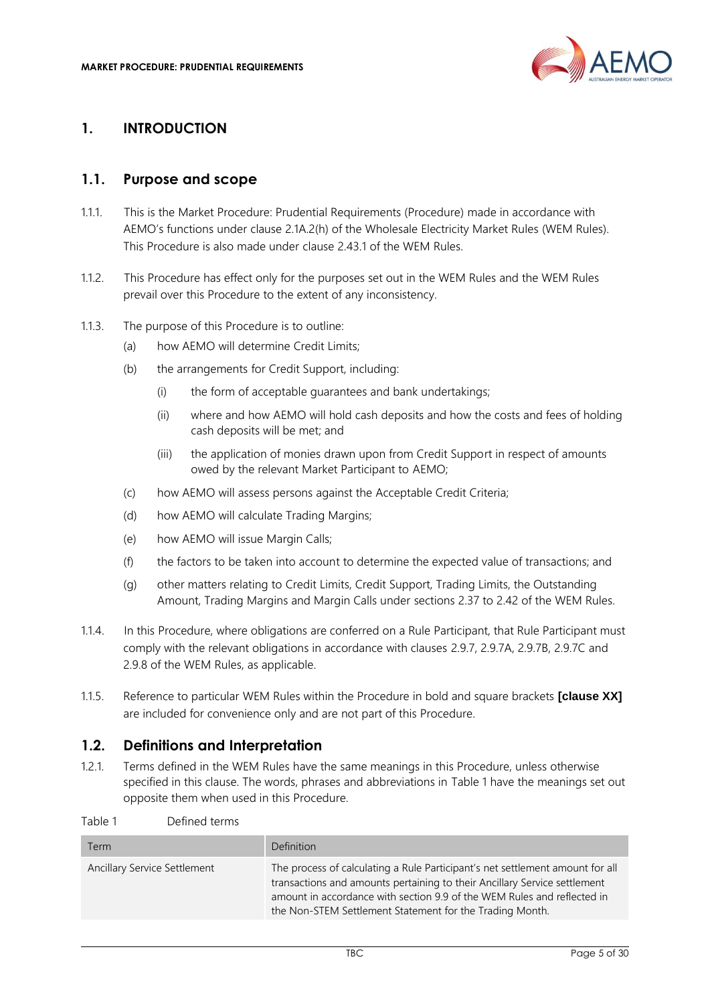

#### <span id="page-4-0"></span>**1. INTRODUCTION**

#### <span id="page-4-1"></span>**1.1. Purpose and scope**

- 1.1.1. This is the Market Procedure: Prudential Requirements (Procedure) made in accordance with AEMO's functions under clause 2.1A.2(h) of the Wholesale Electricity Market Rules (WEM Rules). This Procedure is also made under clause 2.43.1 of the WEM Rules.
- 1.1.2. This Procedure has effect only for the purposes set out in the WEM Rules and the WEM Rules prevail over this Procedure to the extent of any inconsistency.
- 1.1.3. The purpose of this Procedure is to outline:
	- (a) how AEMO will determine Credit Limits;
	- (b) the arrangements for Credit Support, including:
		- (i) the form of acceptable guarantees and bank undertakings;
		- (ii) where and how AEMO will hold cash deposits and how the costs and fees of holding cash deposits will be met; and
		- (iii) the application of monies drawn upon from Credit Support in respect of amounts owed by the relevant Market Participant to AEMO;
	- (c) how AEMO will assess persons against the Acceptable Credit Criteria;
	- (d) how AEMO will calculate Trading Margins;
	- (e) how AEMO will issue Margin Calls;
	- (f) the factors to be taken into account to determine the expected value of transactions; and
	- (g) other matters relating to Credit Limits, Credit Support, Trading Limits, the Outstanding Amount, Trading Margins and Margin Calls under sections 2.37 to 2.42 of the WEM Rules.
- 1.1.4. In this Procedure, where obligations are conferred on a Rule Participant, that Rule Participant must comply with the relevant obligations in accordance with clauses 2.9.7, 2.9.7A, 2.9.7B, 2.9.7C and 2.9.8 of the WEM Rules, as applicable.
- 1.1.5. Reference to particular WEM Rules within the Procedure in bold and square brackets **[clause XX]** are included for convenience only and are not part of this Procedure.

#### <span id="page-4-2"></span>**1.2. Definitions and Interpretation**

1.2.1. Terms defined in the WEM Rules have the same meanings in this Procedure, unless otherwise specified in this clause. The words, phrases and abbreviations in Table 1 have the meanings set out opposite them when used in this Procedure.

Table 1 Defined terms

| Term                         | Definition                                                                                                                                                                                                                                                                                        |
|------------------------------|---------------------------------------------------------------------------------------------------------------------------------------------------------------------------------------------------------------------------------------------------------------------------------------------------|
| Ancillary Service Settlement | The process of calculating a Rule Participant's net settlement amount for all<br>transactions and amounts pertaining to their Ancillary Service settlement<br>amount in accordance with section 9.9 of the WEM Rules and reflected in<br>the Non-STEM Settlement Statement for the Trading Month. |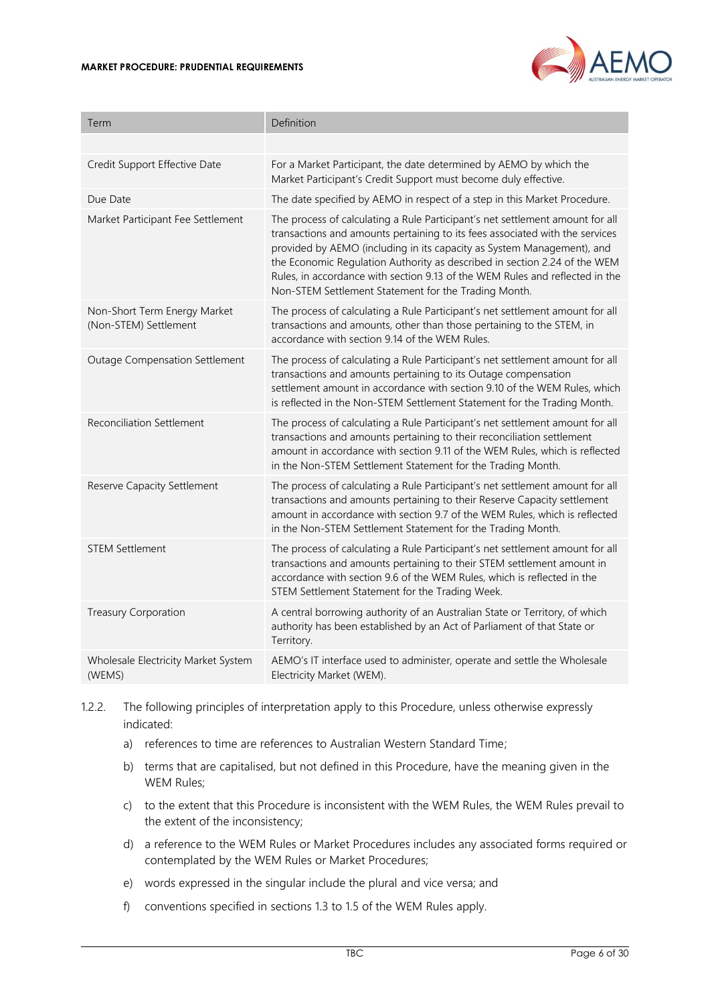#### **MARKET PROCEDURE: PRUDENTIAL REQUIREMENTS**



| Term                                                  | Definition                                                                                                                                                                                                                                                                                                                                                                                                                                                   |
|-------------------------------------------------------|--------------------------------------------------------------------------------------------------------------------------------------------------------------------------------------------------------------------------------------------------------------------------------------------------------------------------------------------------------------------------------------------------------------------------------------------------------------|
|                                                       |                                                                                                                                                                                                                                                                                                                                                                                                                                                              |
| Credit Support Effective Date                         | For a Market Participant, the date determined by AEMO by which the<br>Market Participant's Credit Support must become duly effective.                                                                                                                                                                                                                                                                                                                        |
| Due Date                                              | The date specified by AEMO in respect of a step in this Market Procedure.                                                                                                                                                                                                                                                                                                                                                                                    |
| Market Participant Fee Settlement                     | The process of calculating a Rule Participant's net settlement amount for all<br>transactions and amounts pertaining to its fees associated with the services<br>provided by AEMO (including in its capacity as System Management), and<br>the Economic Regulation Authority as described in section 2.24 of the WEM<br>Rules, in accordance with section 9.13 of the WEM Rules and reflected in the<br>Non-STEM Settlement Statement for the Trading Month. |
| Non-Short Term Energy Market<br>(Non-STEM) Settlement | The process of calculating a Rule Participant's net settlement amount for all<br>transactions and amounts, other than those pertaining to the STEM, in<br>accordance with section 9.14 of the WEM Rules.                                                                                                                                                                                                                                                     |
| <b>Outage Compensation Settlement</b>                 | The process of calculating a Rule Participant's net settlement amount for all<br>transactions and amounts pertaining to its Outage compensation<br>settlement amount in accordance with section 9.10 of the WEM Rules, which<br>is reflected in the Non-STEM Settlement Statement for the Trading Month.                                                                                                                                                     |
| <b>Reconciliation Settlement</b>                      | The process of calculating a Rule Participant's net settlement amount for all<br>transactions and amounts pertaining to their reconciliation settlement<br>amount in accordance with section 9.11 of the WEM Rules, which is reflected<br>in the Non-STEM Settlement Statement for the Trading Month.                                                                                                                                                        |
| Reserve Capacity Settlement                           | The process of calculating a Rule Participant's net settlement amount for all<br>transactions and amounts pertaining to their Reserve Capacity settlement<br>amount in accordance with section 9.7 of the WEM Rules, which is reflected<br>in the Non-STEM Settlement Statement for the Trading Month.                                                                                                                                                       |
| <b>STEM Settlement</b>                                | The process of calculating a Rule Participant's net settlement amount for all<br>transactions and amounts pertaining to their STEM settlement amount in<br>accordance with section 9.6 of the WEM Rules, which is reflected in the<br>STEM Settlement Statement for the Trading Week.                                                                                                                                                                        |
| <b>Treasury Corporation</b>                           | A central borrowing authority of an Australian State or Territory, of which<br>authority has been established by an Act of Parliament of that State or<br>Territory.                                                                                                                                                                                                                                                                                         |
| Wholesale Electricity Market System<br>(WEMS)         | AEMO's IT interface used to administer, operate and settle the Wholesale<br>Electricity Market (WEM).                                                                                                                                                                                                                                                                                                                                                        |

- 1.2.2. The following principles of interpretation apply to this Procedure, unless otherwise expressly indicated:
	- a) references to time are references to Australian Western Standard Time;
	- b) terms that are capitalised, but not defined in this Procedure, have the meaning given in the WEM Rules;
	- c) to the extent that this Procedure is inconsistent with the WEM Rules, the WEM Rules prevail to the extent of the inconsistency;
	- d) a reference to the WEM Rules or Market Procedures includes any associated forms required or contemplated by the WEM Rules or Market Procedures;
	- e) words expressed in the singular include the plural and vice versa; and
	- f) conventions specified in sections 1.3 to 1.5 of the WEM Rules apply.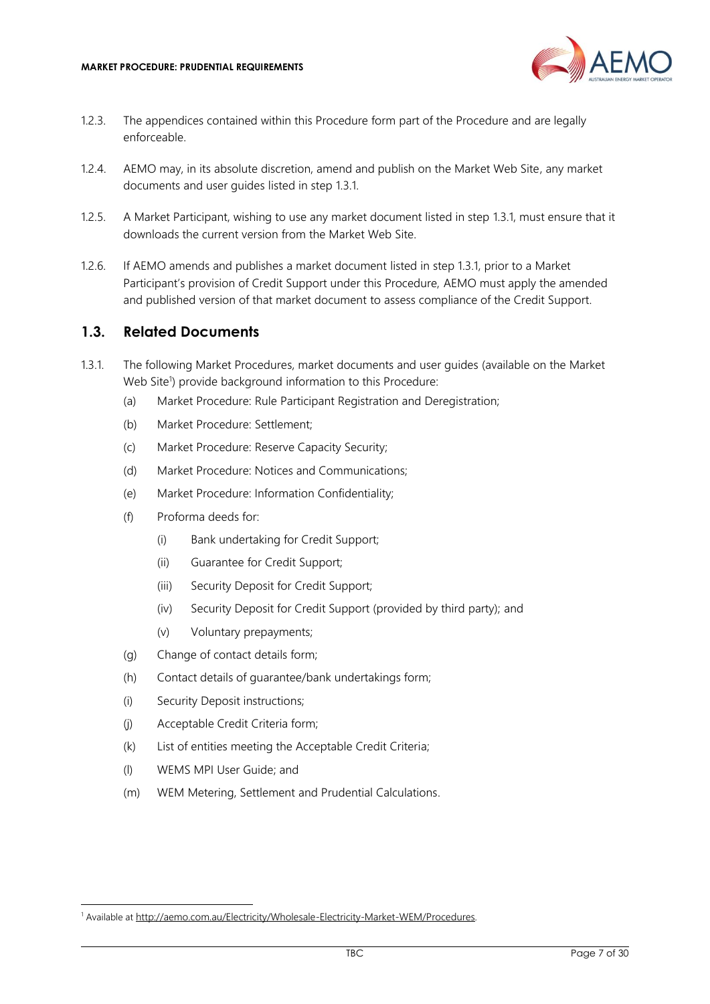

- 1.2.3. The appendices contained within this Procedure form part of the Procedure and are legally enforceable.
- 1.2.4. AEMO may, in its absolute discretion, amend and publish on the Market Web Site, any market documents and user guides listed in step [1.3.1.](#page-6-1)
- 1.2.5. A Market Participant, wishing to use any market document listed in step [1.3.1,](#page-6-1) must ensure that it downloads the current version from the Market Web Site.
- 1.2.6. If AEMO amends and publishes a market document listed in step [1.3.1,](#page-6-1) prior to a Market Participant's provision of Credit Support under this Procedure, AEMO must apply the amended and published version of that market document to assess compliance of the Credit Support.

#### <span id="page-6-0"></span>**1.3. Related Documents**

- <span id="page-6-1"></span>1.3.1. The following Market Procedures, market documents and user guides (available on the Market Web Site<sup>1</sup>) provide background information to this Procedure:
	- (a) Market Procedure: Rule Participant Registration and Deregistration;
	- (b) Market Procedure: Settlement;
	- (c) Market Procedure: Reserve Capacity Security;
	- (d) Market Procedure: Notices and Communications;
	- (e) Market Procedure: Information Confidentiality;
	- (f) Proforma deeds for:
		- (i) Bank undertaking for Credit Support;
		- (ii) Guarantee for Credit Support;
		- (iii) Security Deposit for Credit Support;
		- (iv) Security Deposit for Credit Support (provided by third party); and
		- (v) Voluntary prepayments;
	- (g) Change of contact details form;
	- (h) Contact details of guarantee/bank undertakings form;
	- (i) Security Deposit instructions;
	- (j) Acceptable Credit Criteria form;
	- (k) List of entities meeting the Acceptable Credit Criteria;
	- (l) WEMS MPI User Guide; and
	- (m) WEM Metering, Settlement and Prudential Calculations.

<sup>&</sup>lt;sup>1</sup> Available at [http://aemo.com.au/Electricity/Wholesale-Electricity-Market-WEM/Procedures.](http://aemo.com.au/Electricity/Wholesale-Electricity-Market-WEM/Procedures)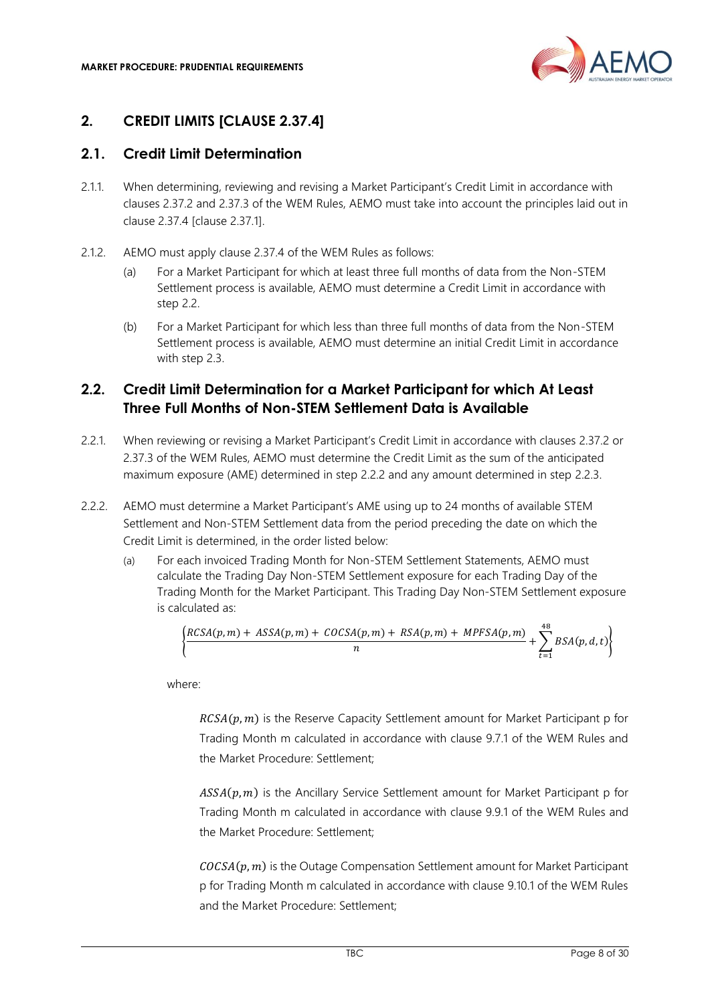

### <span id="page-7-0"></span>**2. CREDIT LIMITS [CLAUSE 2.37.4]**

#### <span id="page-7-1"></span>**2.1. Credit Limit Determination**

- <span id="page-7-4"></span>2.1.1. When determining, reviewing and revising a Market Participant's Credit Limit in accordance with clauses 2.37.2 and 2.37.3 of the WEM Rules, AEMO must take into account the principles laid out in clause 2.37.4 [clause 2.37.1].
- 2.1.2. AEMO must apply clause 2.37.4 of the WEM Rules as follows:
	- (a) For a Market Participant for which at least three full months of data from the Non-STEM Settlement process is available, AEMO must determine a Credit Limit in accordance with step [2.2.](#page-7-2)
	- (b) For a Market Participant for which less than three full months of data from the Non-STEM Settlement process is available, AEMO must determine an initial Credit Limit in accordance with step [2.3.](#page-9-0)

## <span id="page-7-2"></span>**2.2. Credit Limit Determination for a Market Participant for which At Least Three Full Months of Non-STEM Settlement Data is Available**

- 2.2.1. When reviewing or revising a Market Participant's Credit Limit in accordance with clauses 2.37.2 or 2.37.3 of the WEM Rules, AEMO must determine the Credit Limit as the sum of the anticipated maximum exposure (AME) determined in step [2.2.2](#page-7-3) and any amount determined in step [2.2.3.](#page-8-0)
- <span id="page-7-3"></span>2.2.2. AEMO must determine a Market Participant's AME using up to 24 months of available STEM Settlement and Non-STEM Settlement data from the period preceding the date on which the Credit Limit is determined, in the order listed below:
	- (a) For each invoiced Trading Month for Non-STEM Settlement Statements, AEMO must calculate the Trading Day Non-STEM Settlement exposure for each Trading Day of the Trading Month for the Market Participant. This Trading Day Non-STEM Settlement exposure is calculated as:

$$
\left\{\frac{RCSA(p,m)+ASSA(p,m)+COCSA(p,m)+RSA(p,m)+MPFSA(p,m)}{n}+\sum_{t=1}^{48}BSA(p,d,t)\right\}
$$

where:

 $RCSA(p, m)$  is the Reserve Capacity Settlement amount for Market Participant p for Trading Month m calculated in accordance with clause 9.7.1 of the WEM Rules and the Market Procedure: Settlement;

 $ASSA(p, m)$  is the Ancillary Service Settlement amount for Market Participant p for Trading Month m calculated in accordance with clause 9.9.1 of the WEM Rules and the Market Procedure: Settlement;

 $COCSA(p, m)$  is the Outage Compensation Settlement amount for Market Participant p for Trading Month m calculated in accordance with clause 9.10.1 of the WEM Rules and the Market Procedure: Settlement;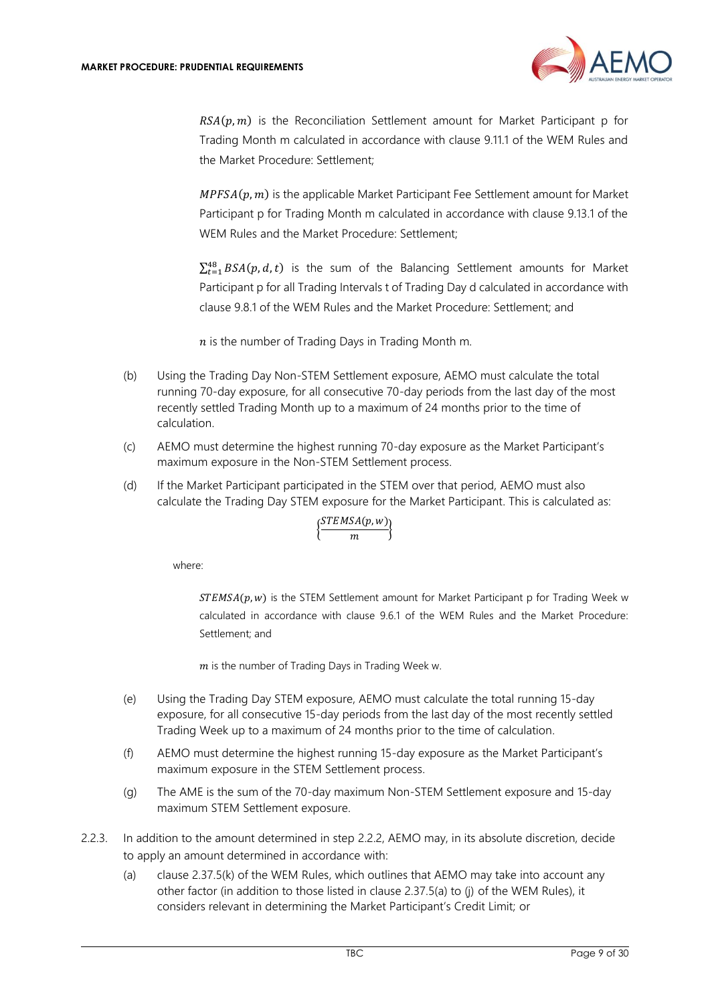

 $RSA(p, m)$  is the Reconciliation Settlement amount for Market Participant p for Trading Month m calculated in accordance with clause 9.11.1 of the WEM Rules and the Market Procedure: Settlement;

 $MPFSA(p, m)$  is the applicable Market Participant Fee Settlement amount for Market Participant p for Trading Month m calculated in accordance with clause 9.13.1 of the WEM Rules and the Market Procedure: Settlement;

 $\sum_{t=1}^{48} BSA(p, d, t)$  is the sum of the Balancing Settlement amounts for Market Participant p for all Trading Intervals t of Trading Day d calculated in accordance with clause 9.8.1 of the WEM Rules and the Market Procedure: Settlement; and

 $n$  is the number of Trading Days in Trading Month m.

- (b) Using the Trading Day Non-STEM Settlement exposure, AEMO must calculate the total running 70-day exposure, for all consecutive 70-day periods from the last day of the most recently settled Trading Month up to a maximum of 24 months prior to the time of calculation.
- (c) AEMO must determine the highest running 70-day exposure as the Market Participant's maximum exposure in the Non-STEM Settlement process.
- (d) If the Market Participant participated in the STEM over that period, AEMO must also calculate the Trading Day STEM exposure for the Market Participant. This is calculated as:

$$
\Big\{\!\frac{STEMSA(p,w)}{m}\!\Big\}
$$

where:

 $STEMSA(p, w)$  is the STEM Settlement amount for Market Participant p for Trading Week w calculated in accordance with clause 9.6.1 of the WEM Rules and the Market Procedure: Settlement; and

 $m$  is the number of Trading Days in Trading Week w.

- (e) Using the Trading Day STEM exposure, AEMO must calculate the total running 15-day exposure, for all consecutive 15-day periods from the last day of the most recently settled Trading Week up to a maximum of 24 months prior to the time of calculation.
- (f) AEMO must determine the highest running 15-day exposure as the Market Participant's maximum exposure in the STEM Settlement process.
- (g) The AME is the sum of the 70-day maximum Non-STEM Settlement exposure and 15-day maximum STEM Settlement exposure.
- <span id="page-8-0"></span>2.2.3. In addition to the amount determined in step [2.2.2,](#page-7-3) AEMO may, in its absolute discretion, decide to apply an amount determined in accordance with:
	- (a) clause 2.37.5(k) of the WEM Rules, which outlines that AEMO may take into account any other factor (in addition to those listed in clause 2.37.5(a) to (j) of the WEM Rules), it considers relevant in determining the Market Participant's Credit Limit; or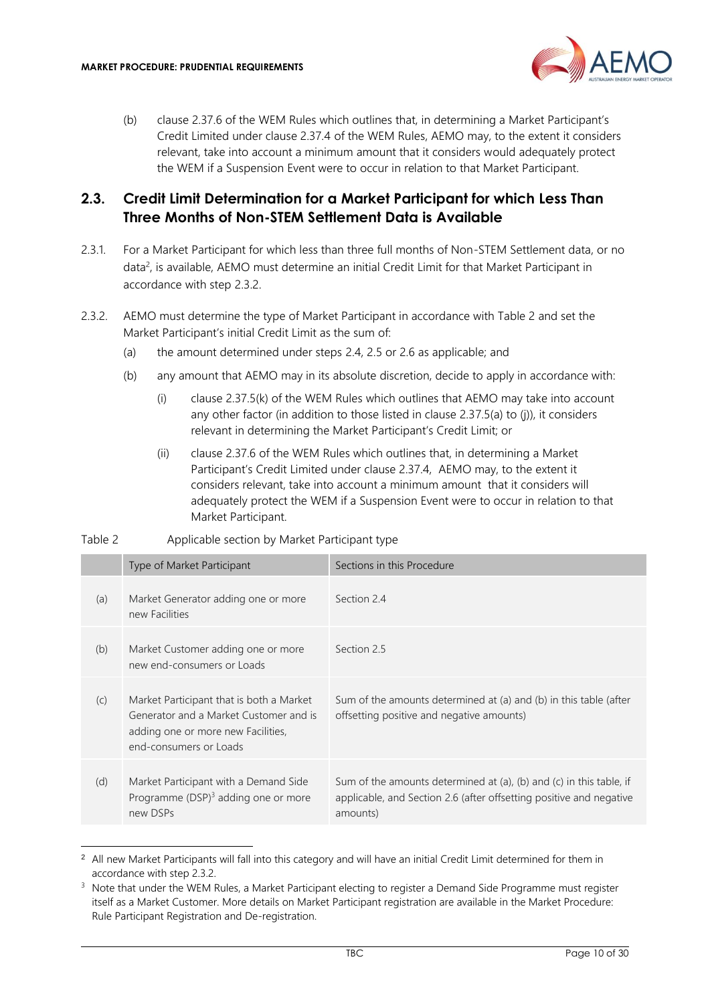

(b) clause 2.37.6 of the WEM Rules which outlines that, in determining a Market Participant's Credit Limited under clause 2.37.4 of the WEM Rules, AEMO may, to the extent it considers relevant, take into account a minimum amount that it considers would adequately protect the WEM if a Suspension Event were to occur in relation to that Market Participant.

#### <span id="page-9-0"></span>**2.3. Credit Limit Determination for a Market Participant for which Less Than Three Months of Non-STEM Settlement Data is Available**

- 2.3.1. For a Market Participant for which less than three full months of Non-STEM Settlement data, or no data<sup>2</sup>, is available, AEMO must determine an initial Credit Limit for that Market Participant in accordance with step [2.3.2.](#page-9-1)
- <span id="page-9-1"></span>2.3.2. AEMO must determine the type of Market Participant in accordance with Table 2 and set the Market Participant's initial Credit Limit as the sum of:
	- (a) the amount determined under steps [2.4,](#page-10-0) [2.5](#page-10-1) or [2.6](#page-11-0) as applicable; and
	- (b) any amount that AEMO may in its absolute discretion, decide to apply in accordance with:
		- (i) clause 2.37.5(k) of the WEM Rules which outlines that AEMO may take into account any other factor (in addition to those listed in clause 2.37.5(a) to (j)), it considers relevant in determining the Market Participant's Credit Limit; or
		- (ii) clause 2.37.6 of the WEM Rules which outlines that, in determining a Market Participant's Credit Limited under clause 2.37.4, AEMO may, to the extent it considers relevant, take into account a minimum amount that it considers will adequately protect the WEM if a Suspension Event were to occur in relation to that Market Participant.

| Table 2 | Applicable section by Market Participant type |
|---------|-----------------------------------------------|
|         |                                               |

|     | Type of Market Participant                                                                                                                         | Sections in this Procedure                                                                                                                             |
|-----|----------------------------------------------------------------------------------------------------------------------------------------------------|--------------------------------------------------------------------------------------------------------------------------------------------------------|
| (a) | Market Generator adding one or more<br>new Facilities                                                                                              | Section 24                                                                                                                                             |
| (b) | Market Customer adding one or more<br>new end-consumers or Loads                                                                                   | Section 2.5                                                                                                                                            |
| (C) | Market Participant that is both a Market<br>Generator and a Market Customer and is<br>adding one or more new Facilities,<br>end-consumers or Loads | Sum of the amounts determined at (a) and (b) in this table (after<br>offsetting positive and negative amounts)                                         |
| (d) | Market Participant with a Demand Side<br>Programme $(DSP)^3$ adding one or more<br>new DSPs                                                        | Sum of the amounts determined at (a), (b) and (c) in this table, if<br>applicable, and Section 2.6 (after offsetting positive and negative<br>amounts) |

<sup>&</sup>lt;sup>2</sup> All new Market Participants will fall into this category and will have an initial Credit Limit determined for them in accordance with step [2.3.2.](#page-9-1)

<sup>&</sup>lt;sup>3</sup> Note that under the WEM Rules, a Market Participant electing to register a Demand Side Programme must register itself as a Market Customer. More details on Market Participant registration are available in the Market Procedure: Rule Participant Registration and De-registration.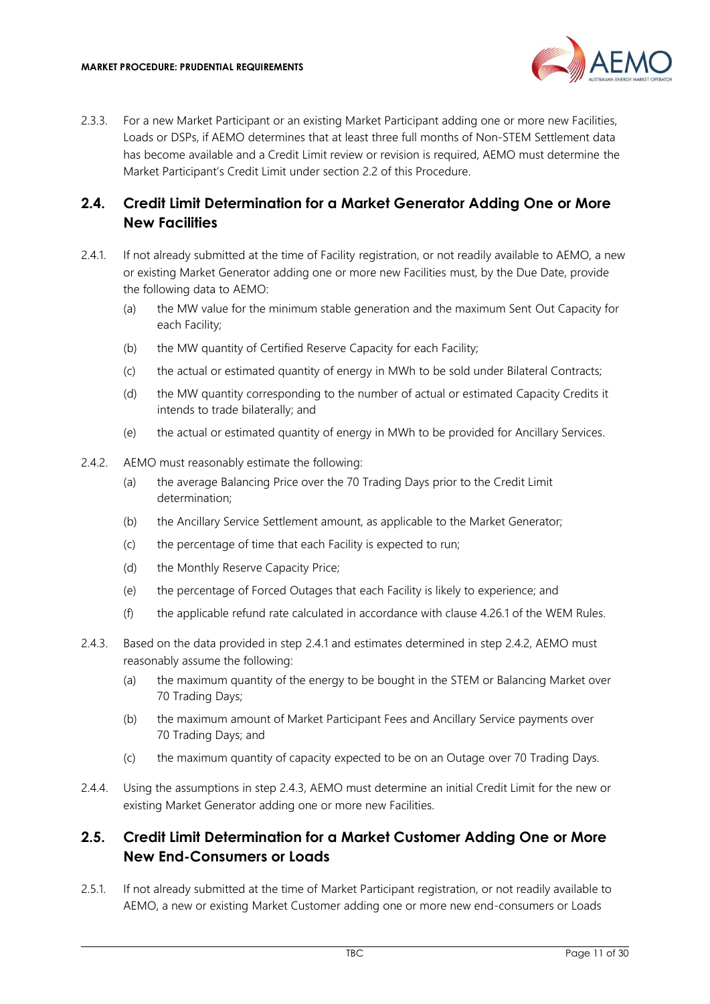

2.3.3. For a new Market Participant or an existing Market Participant adding one or more new Facilities, Loads or DSPs, if AEMO determines that at least three full months of Non-STEM Settlement data has become available and a Credit Limit review or revision is required, AEMO must determine the Market Participant's Credit Limit under section [2.2](#page-7-2) of this Procedure.

#### <span id="page-10-0"></span>**2.4. Credit Limit Determination for a Market Generator Adding One or More New Facilities**

- <span id="page-10-2"></span>2.4.1. If not already submitted at the time of Facility registration, or not readily available to AEMO, a new or existing Market Generator adding one or more new Facilities must, by the Due Date, provide the following data to AEMO:
	- (a) the MW value for the minimum stable generation and the maximum Sent Out Capacity for each Facility;
	- (b) the MW quantity of Certified Reserve Capacity for each Facility;
	- (c) the actual or estimated quantity of energy in MWh to be sold under Bilateral Contracts;
	- (d) the MW quantity corresponding to the number of actual or estimated Capacity Credits it intends to trade bilaterally; and
	- (e) the actual or estimated quantity of energy in MWh to be provided for Ancillary Services.
- <span id="page-10-3"></span>2.4.2. AEMO must reasonably estimate the following:
	- (a) the average Balancing Price over the 70 Trading Days prior to the Credit Limit determination;
	- (b) the Ancillary Service Settlement amount, as applicable to the Market Generator;
	- (c) the percentage of time that each Facility is expected to run;
	- (d) the Monthly Reserve Capacity Price;
	- (e) the percentage of Forced Outages that each Facility is likely to experience; and
	- (f) the applicable refund rate calculated in accordance with clause 4.26.1 of the WEM Rules.
- <span id="page-10-4"></span>2.4.3. Based on the data provided in step [2.4.1](#page-10-2) and estimates determined in step [2.4.2,](#page-10-3) AEMO must reasonably assume the following:
	- (a) the maximum quantity of the energy to be bought in the STEM or Balancing Market over 70 Trading Days;
	- (b) the maximum amount of Market Participant Fees and Ancillary Service payments over 70 Trading Days; and
	- (c) the maximum quantity of capacity expected to be on an Outage over 70 Trading Days.
- 2.4.4. Using the assumptions in step [2.4.3,](#page-10-4) AEMO must determine an initial Credit Limit for the new or existing Market Generator adding one or more new Facilities.

#### <span id="page-10-1"></span>**2.5. Credit Limit Determination for a Market Customer Adding One or More New End-Consumers or Loads**

<span id="page-10-5"></span>2.5.1. If not already submitted at the time of Market Participant registration, or not readily available to AEMO, a new or existing Market Customer adding one or more new end-consumers or Loads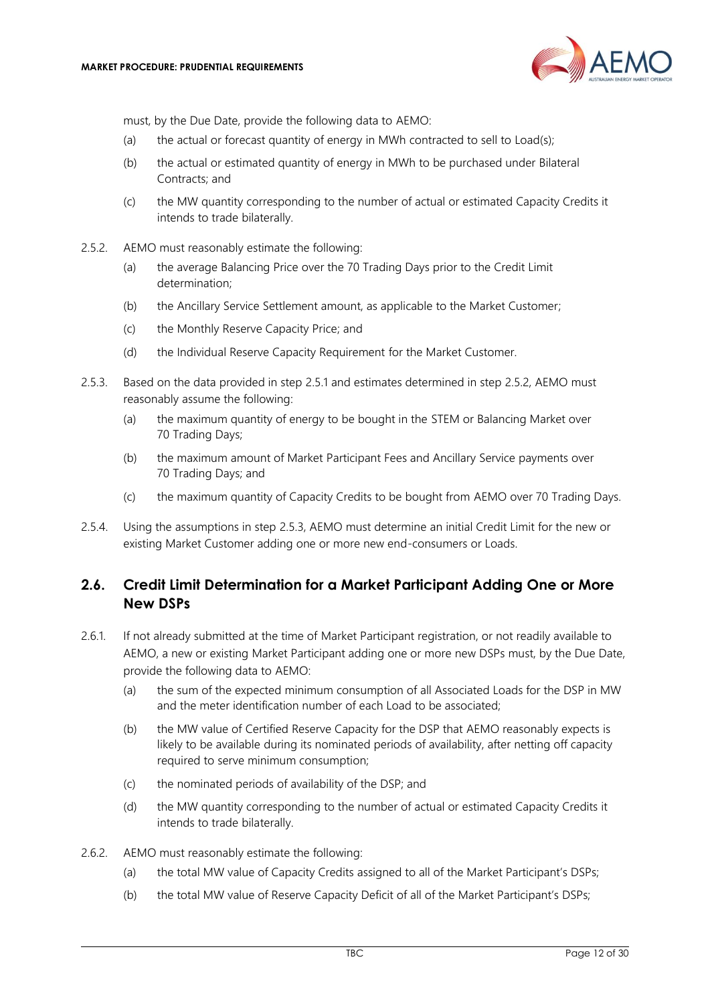

must, by the Due Date, provide the following data to AEMO:

- (a) the actual or forecast quantity of energy in MWh contracted to sell to Load(s);
- (b) the actual or estimated quantity of energy in MWh to be purchased under Bilateral Contracts; and
- (c) the MW quantity corresponding to the number of actual or estimated Capacity Credits it intends to trade bilaterally.
- <span id="page-11-1"></span>2.5.2. AEMO must reasonably estimate the following:
	- (a) the average Balancing Price over the 70 Trading Days prior to the Credit Limit determination;
	- (b) the Ancillary Service Settlement amount, as applicable to the Market Customer;
	- (c) the Monthly Reserve Capacity Price; and
	- (d) the Individual Reserve Capacity Requirement for the Market Customer.
- <span id="page-11-2"></span>2.5.3. Based on the data provided in step [2.5.1](#page-10-5) and estimates determined in step [2.5.2,](#page-11-1) AEMO must reasonably assume the following:
	- (a) the maximum quantity of energy to be bought in the STEM or Balancing Market over 70 Trading Days;
	- (b) the maximum amount of Market Participant Fees and Ancillary Service payments over 70 Trading Days; and
	- (c) the maximum quantity of Capacity Credits to be bought from AEMO over 70 Trading Days.
- 2.5.4. Using the assumptions in step [2.5.3,](#page-11-2) AEMO must determine an initial Credit Limit for the new or existing Market Customer adding one or more new end-consumers or Loads.

#### <span id="page-11-0"></span>**2.6. Credit Limit Determination for a Market Participant Adding One or More New DSPs**

- 2.6.1. If not already submitted at the time of Market Participant registration, or not readily available to AEMO, a new or existing Market Participant adding one or more new DSPs must, by the Due Date, provide the following data to AEMO:
	- (a) the sum of the expected minimum consumption of all Associated Loads for the DSP in MW and the meter identification number of each Load to be associated;
	- (b) the MW value of Certified Reserve Capacity for the DSP that AEMO reasonably expects is likely to be available during its nominated periods of availability, after netting off capacity required to serve minimum consumption;
	- (c) the nominated periods of availability of the DSP; and
	- (d) the MW quantity corresponding to the number of actual or estimated Capacity Credits it intends to trade bilaterally.
- <span id="page-11-3"></span>2.6.2. AEMO must reasonably estimate the following:
	- (a) the total MW value of Capacity Credits assigned to all of the Market Participant's DSPs;
	- (b) the total MW value of Reserve Capacity Deficit of all of the Market Participant's DSPs;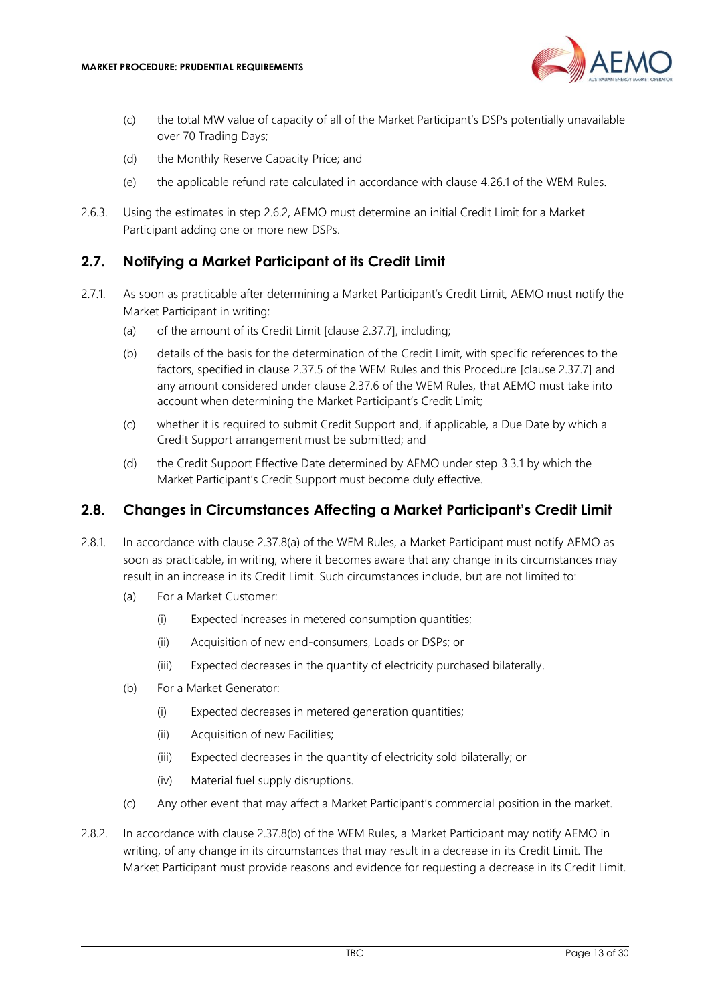

- (c) the total MW value of capacity of all of the Market Participant's DSPs potentially unavailable over 70 Trading Days;
- (d) the Monthly Reserve Capacity Price; and
- (e) the applicable refund rate calculated in accordance with clause 4.26.1 of the WEM Rules.
- 2.6.3. Using the estimates in step [2.6.2,](#page-11-3) AEMO must determine an initial Credit Limit for a Market Participant adding one or more new DSPs.

#### <span id="page-12-0"></span>**2.7. Notifying a Market Participant of its Credit Limit**

- <span id="page-12-4"></span>2.7.1. As soon as practicable after determining a Market Participant's Credit Limit, AEMO must notify the Market Participant in writing:
	- (a) of the amount of its Credit Limit [clause 2.37.7], including;
	- (b) details of the basis for the determination of the Credit Limit, with specific references to the factors, specified in clause 2.37.5 of the WEM Rules and this Procedure [clause 2.37.7] and any amount considered under clause 2.37.6 of the WEM Rules, that AEMO must take into account when determining the Market Participant's Credit Limit;
	- (c) whether it is required to submit Credit Support and, if applicable, a Due Date by which a Credit Support arrangement must be submitted; and
	- (d) the Credit Support Effective Date determined by AEMO under step [3.3.1](#page-15-3) by which the Market Participant's Credit Support must become duly effective.

#### <span id="page-12-1"></span>**2.8. Changes in Circumstances Affecting a Market Participant's Credit Limit**

- <span id="page-12-5"></span><span id="page-12-2"></span>2.8.1. In accordance with clause 2.37.8(a) of the WEM Rules, a Market Participant must notify AEMO as soon as practicable, in writing, where it becomes aware that any change in its circumstances may result in an increase in its Credit Limit. Such circumstances include, but are not limited to:
	- (a) For a Market Customer:
		- (i) Expected increases in metered consumption quantities;
		- (ii) Acquisition of new end-consumers, Loads or DSPs; or
		- (iii) Expected decreases in the quantity of electricity purchased bilaterally.
	- (b) For a Market Generator:
		- (i) Expected decreases in metered generation quantities;
		- (ii) Acquisition of new Facilities;
		- (iii) Expected decreases in the quantity of electricity sold bilaterally; or
		- (iv) Material fuel supply disruptions.
	- (c) Any other event that may affect a Market Participant's commercial position in the market.
- <span id="page-12-3"></span>2.8.2. In accordance with clause 2.37.8(b) of the WEM Rules, a Market Participant may notify AEMO in writing, of any change in its circumstances that may result in a decrease in its Credit Limit. The Market Participant must provide reasons and evidence for requesting a decrease in its Credit Limit.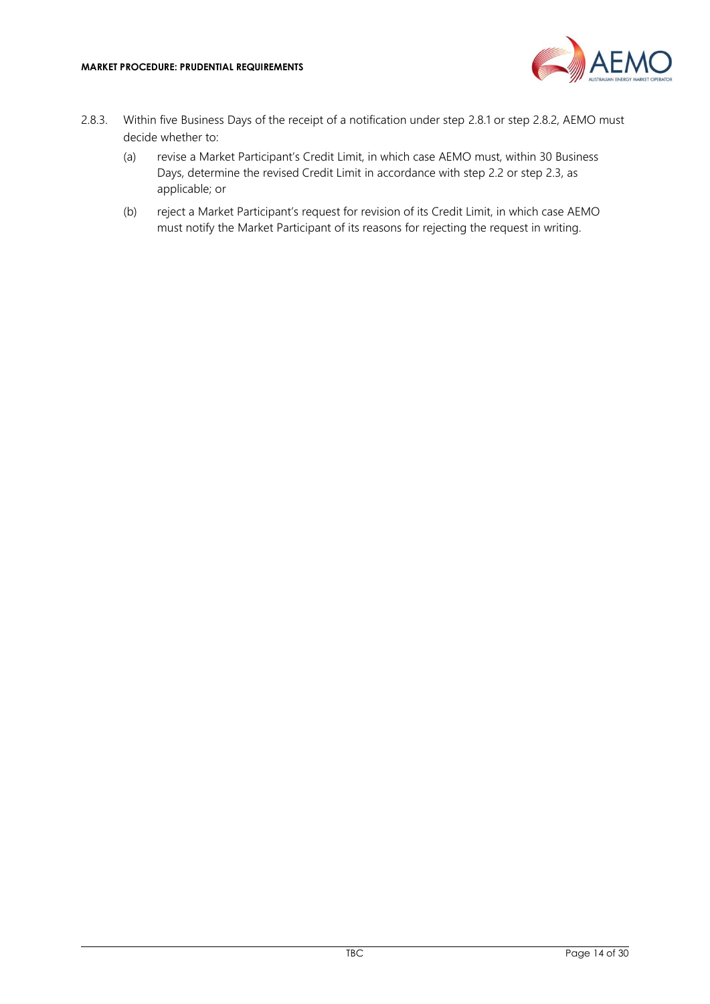

- 2.8.3. Within five Business Days of the receipt of a notification under step [2.8.1](#page-12-2) or step [2.8.2,](#page-12-3) AEMO must decide whether to:
	- (a) revise a Market Participant's Credit Limit, in which case AEMO must, within 30 Business Days, determine the revised Credit Limit in accordance with step [2.2](#page-7-2) or step [2.3,](#page-9-0) as applicable; or
	- (b) reject a Market Participant's request for revision of its Credit Limit, in which case AEMO must notify the Market Participant of its reasons for rejecting the request in writing.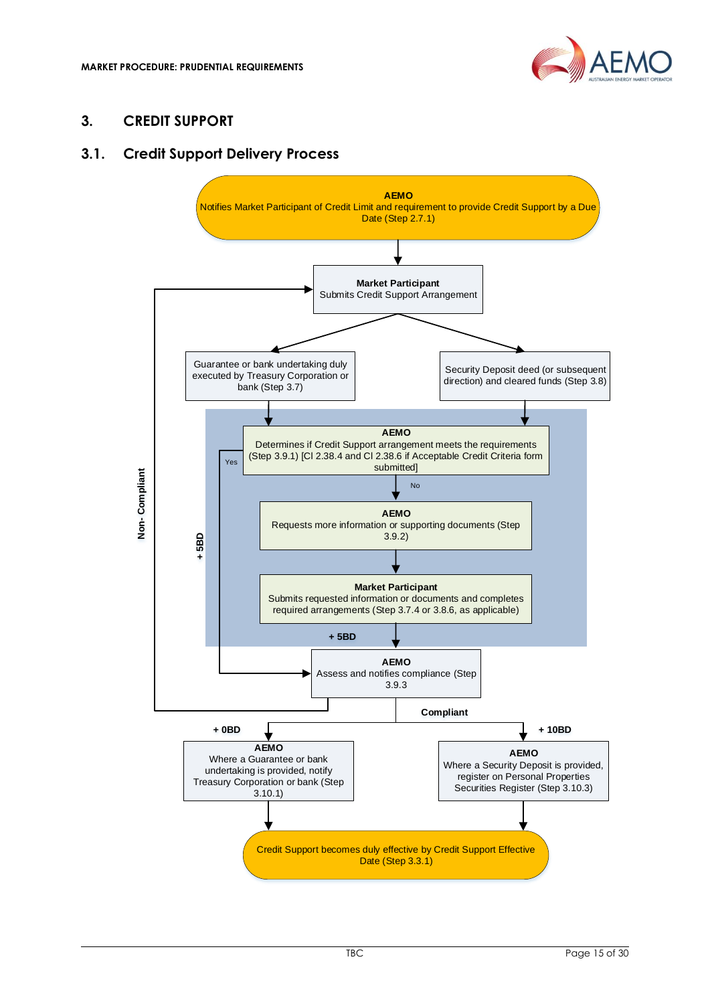

#### <span id="page-14-0"></span>**3. CREDIT SUPPORT**

#### <span id="page-14-1"></span>**3.1. Credit Support Delivery Process**

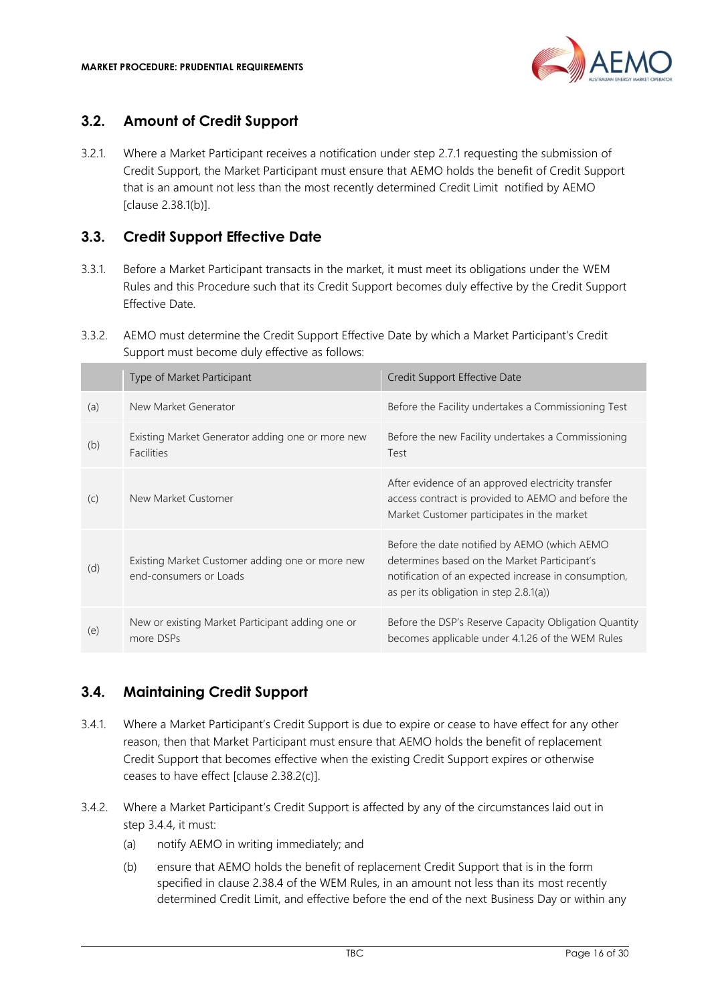

#### <span id="page-15-0"></span>**3.2. Amount of Credit Support**

3.2.1. Where a Market Participant receives a notification under step [2.7.1](#page-12-4) requesting the submission of Credit Support, the Market Participant must ensure that AEMO holds the benefit of Credit Support that is an amount not less than the most recently determined Credit Limit notified by AEMO [clause 2.38.1(b)].

#### <span id="page-15-1"></span>**3.3. Credit Support Effective Date**

- <span id="page-15-3"></span>3.3.1. Before a Market Participant transacts in the market, it must meet its obligations under the WEM Rules and this Procedure such that its Credit Support becomes duly effective by the Credit Support Effective Date.
- 3.3.2. AEMO must determine the Credit Support Effective Date by which a Market Participant's Credit Support must become duly effective as follows:

|     | Type of Market Participant                                                | Credit Support Effective Date                                                                                                                                                                      |
|-----|---------------------------------------------------------------------------|----------------------------------------------------------------------------------------------------------------------------------------------------------------------------------------------------|
| (a) | New Market Generator                                                      | Before the Facility undertakes a Commissioning Test                                                                                                                                                |
| (b) | Existing Market Generator adding one or more new<br><b>Facilities</b>     | Before the new Facility undertakes a Commissioning<br>Test                                                                                                                                         |
| (C) | New Market Customer                                                       | After evidence of an approved electricity transfer<br>access contract is provided to AEMO and before the<br>Market Customer participates in the market                                             |
| (d) | Existing Market Customer adding one or more new<br>end-consumers or Loads | Before the date notified by AEMO (which AEMO<br>determines based on the Market Participant's<br>notification of an expected increase in consumption,<br>as per its obligation in step $2.8.1(a)$ ) |
| (e) | New or existing Market Participant adding one or<br>more DSPs             | Before the DSP's Reserve Capacity Obligation Quantity<br>becomes applicable under 4.1.26 of the WEM Rules                                                                                          |

#### <span id="page-15-2"></span>**3.4. Maintaining Credit Support**

- 3.4.1. Where a Market Participant's Credit Support is due to expire or cease to have effect for any other reason, then that Market Participant must ensure that AEMO holds the benefit of replacement Credit Support that becomes effective when the existing Credit Support expires or otherwise ceases to have effect [clause 2.38.2(c)].
- <span id="page-15-5"></span><span id="page-15-4"></span>3.4.2. Where a Market Participant's Credit Support is affected by any of the circumstances laid out in step [3.4.4,](#page-16-2) it must:
	- (a) notify AEMO in writing immediately; and
	- (b) ensure that AEMO holds the benefit of replacement Credit Support that is in the form specified in clause 2.38.4 of the WEM Rules, in an amount not less than its most recently determined Credit Limit, and effective before the end of the next Business Day or within any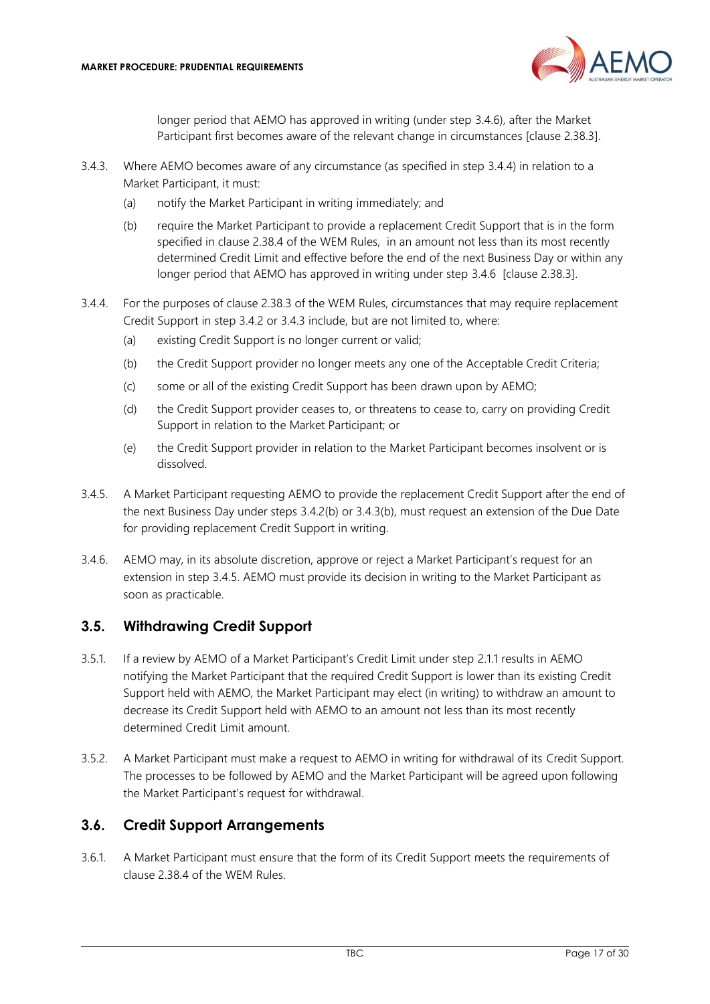

longer period that AEMO has approved in writing (under step [3.4.6\)](#page-16-3), after the Market Participant first becomes aware of the relevant change in circumstances [clause 2.38.3].

- <span id="page-16-5"></span><span id="page-16-4"></span>3.4.3. Where AEMO becomes aware of any circumstance (as specified in step [3.4.4\)](#page-16-2) in relation to a Market Participant, it must:
	- (a) notify the Market Participant in writing immediately; and
	- (b) require the Market Participant to provide a replacement Credit Support that is in the form specified in clause 2.38.4 of the WEM Rules, in an amount not less than its most recently determined Credit Limit and effective before the end of the next Business Day or within any longer period that AEMO has approved in writing under step [3.4.6](#page-16-3) [clause 2.38.3].
- <span id="page-16-2"></span>3.4.4. For the purposes of clause 2.38.3 of the WEM Rules, circumstances that may require replacement Credit Support in step [3.4.2](#page-15-4) or [3.4.3](#page-16-4) include, but are not limited to, where:
	- (a) existing Credit Support is no longer current or valid;
	- (b) the Credit Support provider no longer meets any one of the Acceptable Credit Criteria;
	- (c) some or all of the existing Credit Support has been drawn upon by AEMO;
	- (d) the Credit Support provider ceases to, or threatens to cease to, carry on providing Credit Support in relation to the Market Participant; or
	- (e) the Credit Support provider in relation to the Market Participant becomes insolvent or is dissolved.
- <span id="page-16-6"></span>3.4.5. A Market Participant requesting AEMO to provide the replacement Credit Support after the end of the next Business Day under steps 3.4.[2\(b\)](#page-15-5) or 3.4.[3\(b\),](#page-16-5) must request an extension of the Due Date for providing replacement Credit Support in writing.
- <span id="page-16-3"></span>3.4.6. AEMO may, in its absolute discretion, approve or reject a Market Participant's request for an extension in step [3.4.5.](#page-16-6) AEMO must provide its decision in writing to the Market Participant as soon as practicable.

#### <span id="page-16-0"></span>**3.5. Withdrawing Credit Support**

- 3.5.1. If a review by AEMO of a Market Participant's Credit Limit under step [2.1.1](#page-7-4) results in AEMO notifying the Market Participant that the required Credit Support is lower than its existing Credit Support held with AEMO, the Market Participant may elect (in writing) to withdraw an amount to decrease its Credit Support held with AEMO to an amount not less than its most recently determined Credit Limit amount.
- 3.5.2. A Market Participant must make a request to AEMO in writing for withdrawal of its Credit Support. The processes to be followed by AEMO and the Market Participant will be agreed upon following the Market Participant's request for withdrawal.

#### <span id="page-16-1"></span>**3.6. Credit Support Arrangements**

3.6.1. A Market Participant must ensure that the form of its Credit Support meets the requirements of clause 2.38.4 of the WEM Rules.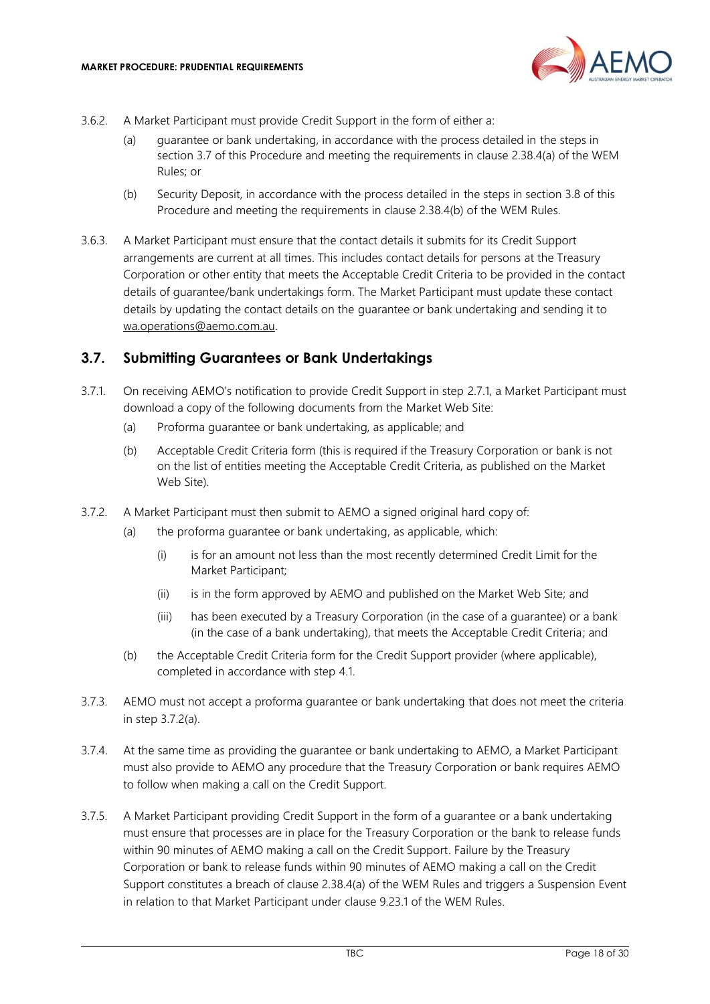

- 3.6.2. A Market Participant must provide Credit Support in the form of either a:
	- (a) guarantee or bank undertaking, in accordance with the process detailed in the steps in section [3.7](#page-17-0) of this Procedure and meeting the requirements in clause 2.38.4(a) of the WEM Rules; or
	- (b) Security Deposit, in accordance with the process detailed in the steps in section [3.8](#page-18-0) of this Procedure and meeting the requirements in clause 2.38.4(b) of the WEM Rules.
- 3.6.3. A Market Participant must ensure that the contact details it submits for its Credit Support arrangements are current at all times. This includes contact details for persons at the Treasury Corporation or other entity that meets the Acceptable Credit Criteria to be provided in the contact details of guarantee/bank undertakings form. The Market Participant must update these contact details by updating the contact details on the guarantee or bank undertaking and sending it to [wa.operations@aemo.com.au.](mailto:wa.operations@aemo.com.au)

#### <span id="page-17-0"></span>**3.7. Submitting Guarantees or Bank Undertakings**

- 3.7.1. On receiving AEMO's notification to provide Credit Support in step [2.7.1,](#page-12-4) a Market Participant must download a copy of the following documents from the Market Web Site:
	- (a) Proforma guarantee or bank undertaking, as applicable; and
	- (b) Acceptable Credit Criteria form (this is required if the Treasury Corporation or bank is not on the list of entities meeting the Acceptable Credit Criteria, as published on the Market Web Site).
- <span id="page-17-1"></span>3.7.2. A Market Participant must then submit to AEMO a signed original hard copy of:
	- (a) the proforma guarantee or bank undertaking, as applicable, which:
		- (i) is for an amount not less than the most recently determined Credit Limit for the Market Participant;
		- (ii) is in the form approved by AEMO and published on the Market Web Site; and
		- (iii) has been executed by a Treasury Corporation (in the case of a guarantee) or a bank (in the case of a bank undertaking), that meets the Acceptable Credit Criteria; and
	- (b) the Acceptable Credit Criteria form for the Credit Support provider (where applicable), completed in accordance with step [4.1.](#page-21-1)
- 3.7.3. AEMO must not accept a proforma guarantee or bank undertaking that does not meet the criteria in step 3.7.[2\(a\).](#page-17-1)
- 3.7.4. At the same time as providing the guarantee or bank undertaking to AEMO, a Market Participant must also provide to AEMO any procedure that the Treasury Corporation or bank requires AEMO to follow when making a call on the Credit Support.
- 3.7.5. A Market Participant providing Credit Support in the form of a guarantee or a bank undertaking must ensure that processes are in place for the Treasury Corporation or the bank to release funds within 90 minutes of AEMO making a call on the Credit Support. Failure by the Treasury Corporation or bank to release funds within 90 minutes of AEMO making a call on the Credit Support constitutes a breach of clause 2.38.4(a) of the WEM Rules and triggers a Suspension Event in relation to that Market Participant under clause 9.23.1 of the WEM Rules.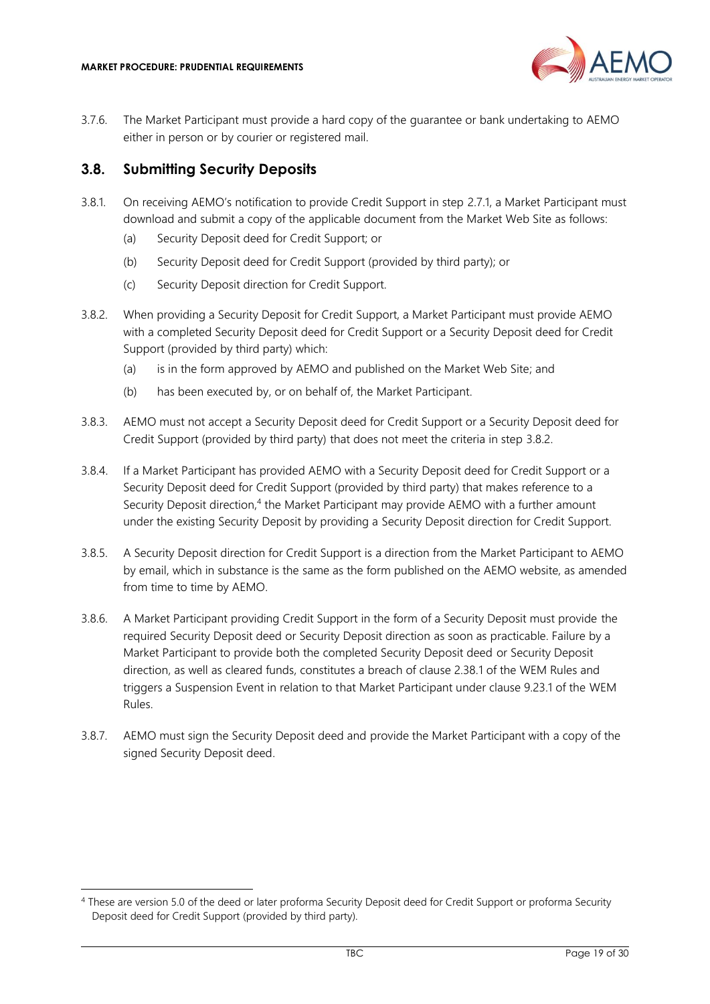

3.7.6. The Market Participant must provide a hard copy of the guarantee or bank undertaking to AEMO either in person or by courier or registered mail.

#### <span id="page-18-0"></span>**3.8. Submitting Security Deposits**

- 3.8.1. On receiving AEMO's notification to provide Credit Support in step [2.7.1,](#page-12-4) a Market Participant must download and submit a copy of the applicable document from the Market Web Site as follows:
	- (a) Security Deposit deed for Credit Support; or
	- (b) Security Deposit deed for Credit Support (provided by third party); or
	- (c) Security Deposit direction for Credit Support.
- <span id="page-18-1"></span>3.8.2. When providing a Security Deposit for Credit Support, a Market Participant must provide AEMO with a completed Security Deposit deed for Credit Support or a Security Deposit deed for Credit Support (provided by third party) which:
	- (a) is in the form approved by AEMO and published on the Market Web Site; and
	- (b) has been executed by, or on behalf of, the Market Participant.
- 3.8.3. AEMO must not accept a Security Deposit deed for Credit Support or a Security Deposit deed for Credit Support (provided by third party) that does not meet the criteria in step [3.8.2.](#page-18-1)
- 3.8.4. If a Market Participant has provided AEMO with a Security Deposit deed for Credit Support or a Security Deposit deed for Credit Support (provided by third party) that makes reference to a Security Deposit direction,<sup>4</sup> the Market Participant may provide AEMO with a further amount under the existing Security Deposit by providing a Security Deposit direction for Credit Support.
- 3.8.5. A Security Deposit direction for Credit Support is a direction from the Market Participant to AEMO by email, which in substance is the same as the form published on the AEMO website, as amended from time to time by AEMO.
- 3.8.6. A Market Participant providing Credit Support in the form of a Security Deposit must provide the required Security Deposit deed or Security Deposit direction as soon as practicable. Failure by a Market Participant to provide both the completed Security Deposit deed or Security Deposit direction, as well as cleared funds, constitutes a breach of clause 2.38.1 of the WEM Rules and triggers a Suspension Event in relation to that Market Participant under clause 9.23.1 of the WEM Rules.
- 3.8.7. AEMO must sign the Security Deposit deed and provide the Market Participant with a copy of the signed Security Deposit deed.

<sup>4</sup> These are version 5.0 of the deed or later proforma Security Deposit deed for Credit Support or proforma Security Deposit deed for Credit Support (provided by third party).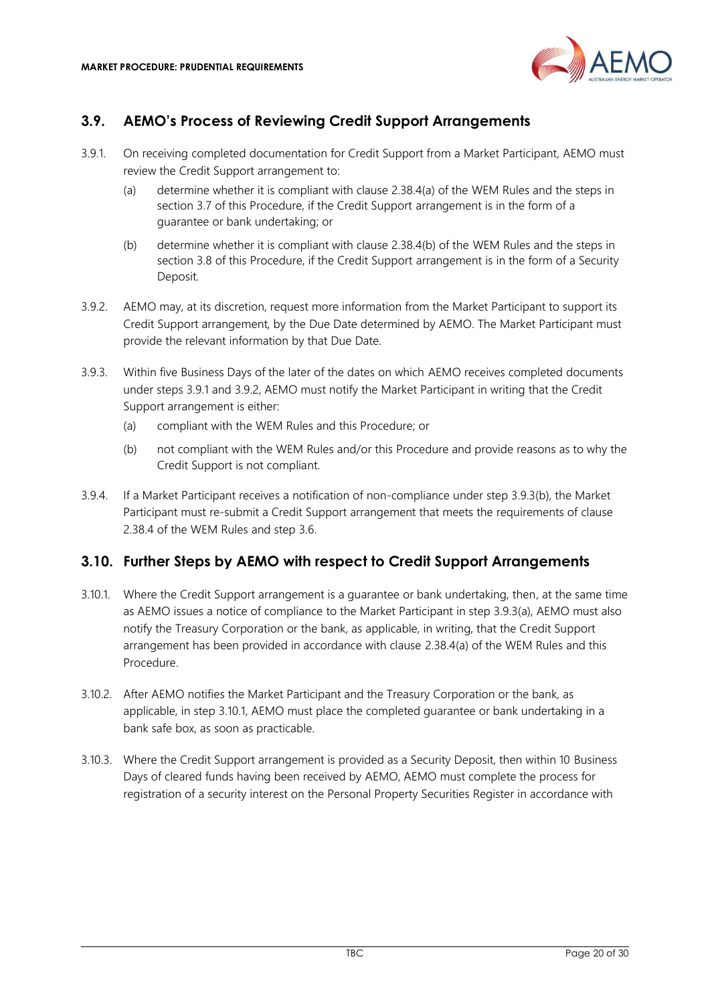

# <span id="page-19-0"></span>**3.9. AEMO's Process of Reviewing Credit Support Arrangements**

- <span id="page-19-2"></span>3.9.1. On receiving completed documentation for Credit Support from a Market Participant, AEMO must review the Credit Support arrangement to:
	- (a) determine whether it is compliant with clause 2.38.4(a) of the WEM Rules and the steps in section [3.7](#page-17-0) of this Procedure, if the Credit Support arrangement is in the form of a guarantee or bank undertaking; or
	- (b) determine whether it is compliant with clause 2.38.4(b) of the WEM Rules and the steps in section [3.8](#page-18-0) of this Procedure, if the Credit Support arrangement is in the form of a Security Deposit.
- <span id="page-19-3"></span>3.9.2. AEMO may, at its discretion, request more information from the Market Participant to support its Credit Support arrangement, by the Due Date determined by AEMO. The Market Participant must provide the relevant information by that Due Date.
- <span id="page-19-5"></span>3.9.3. Within five Business Days of the later of the dates on which AEMO receives completed documents under steps [3.9.1](#page-19-2) and [3.9.2,](#page-19-3) AEMO must notify the Market Participant in writing that the Credit Support arrangement is either:
	- (a) compliant with the WEM Rules and this Procedure; or
	- (b) not compliant with the WEM Rules and/or this Procedure and provide reasons as to why the Credit Support is not compliant.
- <span id="page-19-4"></span>3.9.4. If a Market Participant receives a notification of non-compliance under step 3.9.[3\(b\),](#page-19-4) the Market Participant must re-submit a Credit Support arrangement that meets the requirements of clause 2.38.4 of the WEM Rules and step [3.6.](#page-16-1)

#### <span id="page-19-1"></span>**3.10. Further Steps by AEMO with respect to Credit Support Arrangements**

- <span id="page-19-6"></span>3.10.1. Where the Credit Support arrangement is a guarantee or bank undertaking, then, at the same time as AEMO issues a notice of compliance to the Market Participant in step 3.9.[3\(a\),](#page-19-5) AEMO must also notify the Treasury Corporation or the bank, as applicable, in writing, that the Credit Support arrangement has been provided in accordance with clause 2.38.4(a) of the WEM Rules and this Procedure.
- 3.10.2. After AEMO notifies the Market Participant and the Treasury Corporation or the bank, as applicable, in step [3.10.1,](#page-19-6) AEMO must place the completed guarantee or bank undertaking in a bank safe box, as soon as practicable.
- <span id="page-19-7"></span>3.10.3. Where the Credit Support arrangement is provided as a Security Deposit, then within 10 Business Days of cleared funds having been received by AEMO, AEMO must complete the process for registration of a security interest on the Personal Property Securities Register in accordance with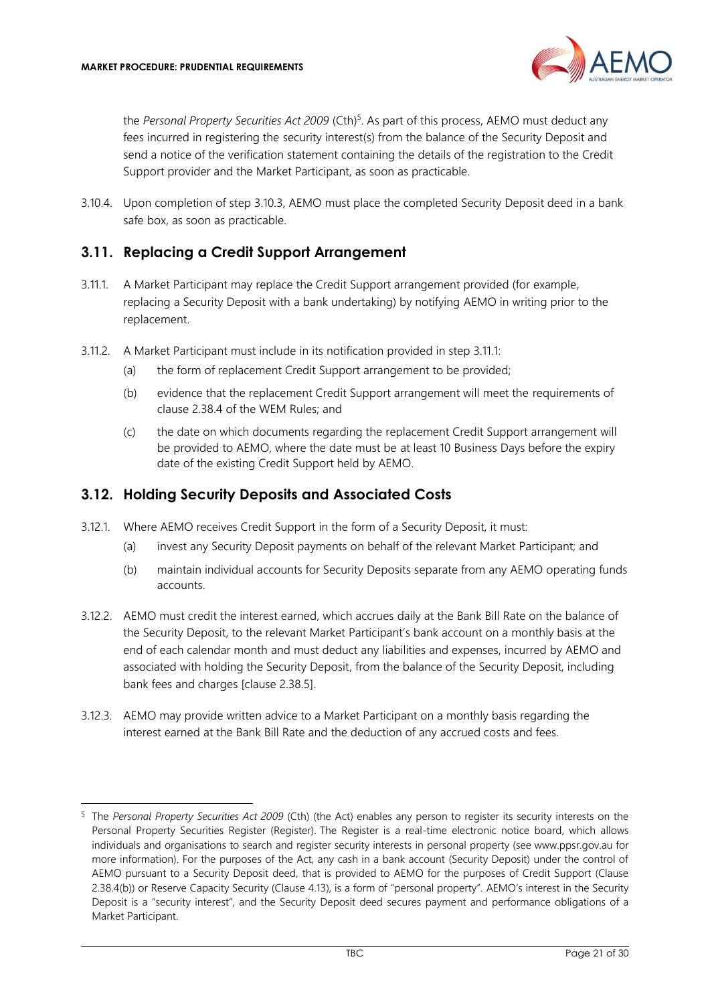

the *Personal Property Securities Act 2009* (Cth) 5 . As part of this process, AEMO must deduct any fees incurred in registering the security interest(s) from the balance of the Security Deposit and send a notice of the verification statement containing the details of the registration to the Credit Support provider and the Market Participant, as soon as practicable.

3.10.4. Upon completion of step [3.10.3,](#page-19-7) AEMO must place the completed Security Deposit deed in a bank safe box, as soon as practicable.

#### <span id="page-20-0"></span>**3.11. Replacing a Credit Support Arrangement**

- <span id="page-20-2"></span>3.11.1. A Market Participant may replace the Credit Support arrangement provided (for example, replacing a Security Deposit with a bank undertaking) by notifying AEMO in writing prior to the replacement.
- 3.11.2. A Market Participant must include in its notification provided in step [3.11.1:](#page-20-2)
	- (a) the form of replacement Credit Support arrangement to be provided;
	- (b) evidence that the replacement Credit Support arrangement will meet the requirements of clause 2.38.4 of the WEM Rules; and
	- (c) the date on which documents regarding the replacement Credit Support arrangement will be provided to AEMO, where the date must be at least 10 Business Days before the expiry date of the existing Credit Support held by AEMO.

#### <span id="page-20-1"></span>**3.12. Holding Security Deposits and Associated Costs**

- 3.12.1. Where AEMO receives Credit Support in the form of a Security Deposit, it must:
	- (a) invest any Security Deposit payments on behalf of the relevant Market Participant; and
	- (b) maintain individual accounts for Security Deposits separate from any AEMO operating funds accounts.
- 3.12.2. AEMO must credit the interest earned, which accrues daily at the Bank Bill Rate on the balance of the Security Deposit, to the relevant Market Participant's bank account on a monthly basis at the end of each calendar month and must deduct any liabilities and expenses, incurred by AEMO and associated with holding the Security Deposit, from the balance of the Security Deposit, including bank fees and charges [clause 2.38.5].
- 3.12.3. AEMO may provide written advice to a Market Participant on a monthly basis regarding the interest earned at the Bank Bill Rate and the deduction of any accrued costs and fees.

<sup>5</sup> The *Personal Property Securities Act 2009* (Cth) (the Act) enables any person to register its security interests on the Personal Property Securities Register (Register). The Register is a real-time electronic notice board, which allows individuals and organisations to search and register security interests in personal property (see [www.ppsr.gov.au](http://www.ppsr.gov.au/) for more information). For the purposes of the Act, any cash in a bank account (Security Deposit) under the control of AEMO pursuant to a Security Deposit deed, that is provided to AEMO for the purposes of Credit Support (Clause 2.38.4(b)) or Reserve Capacity Security (Clause 4.13), is a form of "personal property". AEMO's interest in the Security Deposit is a "security interest", and the Security Deposit deed secures payment and performance obligations of a Market Participant.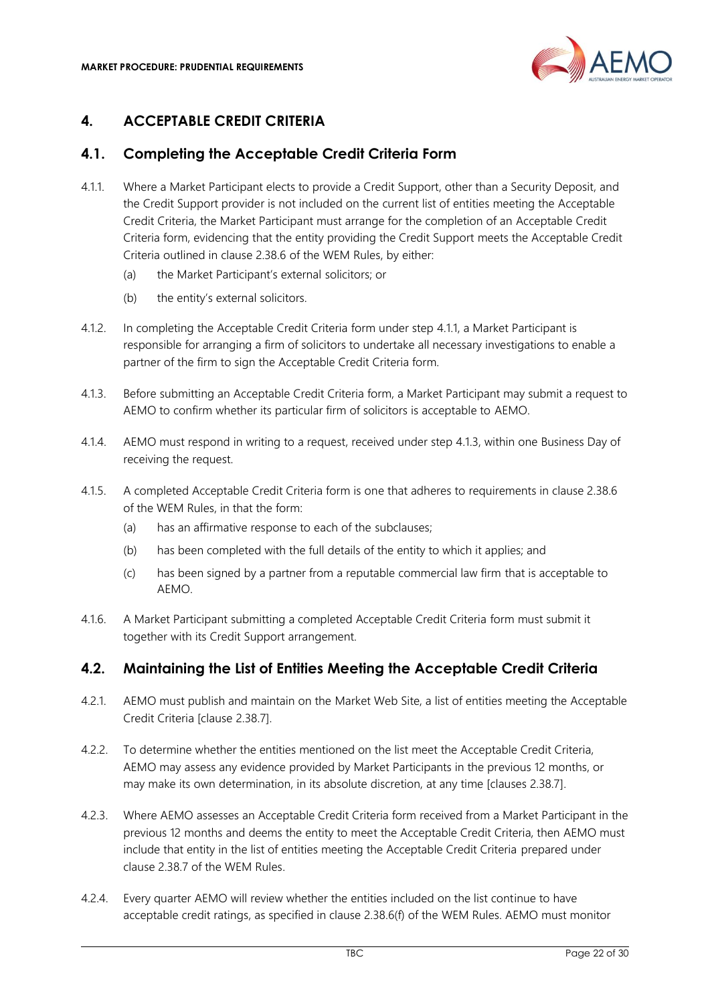

# <span id="page-21-0"></span>**4. ACCEPTABLE CREDIT CRITERIA**

## <span id="page-21-1"></span>**4.1. Completing the Acceptable Credit Criteria Form**

- <span id="page-21-3"></span>4.1.1. Where a Market Participant elects to provide a Credit Support, other than a Security Deposit, and the Credit Support provider is not included on the current list of entities meeting the Acceptable Credit Criteria, the Market Participant must arrange for the completion of an Acceptable Credit Criteria form, evidencing that the entity providing the Credit Support meets the Acceptable Credit Criteria outlined in clause 2.38.6 of the WEM Rules, by either:
	- (a) the Market Participant's external solicitors; or
	- (b) the entity's external solicitors.
- 4.1.2. In completing the Acceptable Credit Criteria form under step [4.1.1,](#page-21-3) a Market Participant is responsible for arranging a firm of solicitors to undertake all necessary investigations to enable a partner of the firm to sign the Acceptable Credit Criteria form.
- <span id="page-21-4"></span>4.1.3. Before submitting an Acceptable Credit Criteria form, a Market Participant may submit a request to AEMO to confirm whether its particular firm of solicitors is acceptable to AEMO.
- 4.1.4. AEMO must respond in writing to a request, received under step [4.1.3,](#page-21-4) within one Business Day of receiving the request.
- 4.1.5. A completed Acceptable Credit Criteria form is one that adheres to requirements in clause 2.38.6 of the WEM Rules, in that the form:
	- (a) has an affirmative response to each of the subclauses;
	- (b) has been completed with the full details of the entity to which it applies; and
	- (c) has been signed by a partner from a reputable commercial law firm that is acceptable to AEMO.
- 4.1.6. A Market Participant submitting a completed Acceptable Credit Criteria form must submit it together with its Credit Support arrangement.

#### <span id="page-21-2"></span>**4.2. Maintaining the List of Entities Meeting the Acceptable Credit Criteria**

- 4.2.1. AEMO must publish and maintain on the Market Web Site, a list of entities meeting the Acceptable Credit Criteria [clause 2.38.7].
- 4.2.2. To determine whether the entities mentioned on the list meet the Acceptable Credit Criteria, AEMO may assess any evidence provided by Market Participants in the previous 12 months, or may make its own determination, in its absolute discretion, at any time [clauses 2.38.7].
- 4.2.3. Where AEMO assesses an Acceptable Credit Criteria form received from a Market Participant in the previous 12 months and deems the entity to meet the Acceptable Credit Criteria, then AEMO must include that entity in the list of entities meeting the Acceptable Credit Criteria prepared under clause 2.38.7 of the WEM Rules.
- 4.2.4. Every quarter AEMO will review whether the entities included on the list continue to have acceptable credit ratings, as specified in clause 2.38.6(f) of the WEM Rules. AEMO must monitor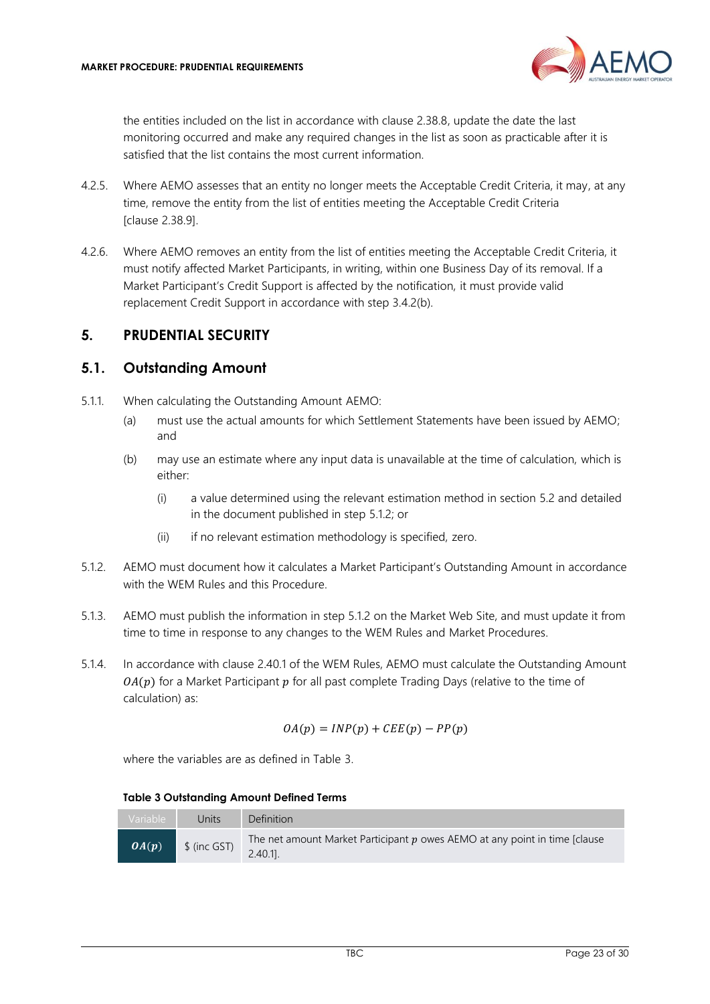

the entities included on the list in accordance with clause 2.38.8, update the date the last monitoring occurred and make any required changes in the list as soon as practicable after it is satisfied that the list contains the most current information.

- 4.2.5. Where AEMO assesses that an entity no longer meets the Acceptable Credit Criteria, it may, at any time, remove the entity from the list of entities meeting the Acceptable Credit Criteria [clause 2.38.9].
- 4.2.6. Where AEMO removes an entity from the list of entities meeting the Acceptable Credit Criteria, it must notify affected Market Participants, in writing, within one Business Day of its removal. If a Market Participant's Credit Support is affected by the notification, it must provide valid replacement Credit Support in accordance with step 3.4.[2\(b\).](#page-15-5)

### <span id="page-22-0"></span>**5. PRUDENTIAL SECURITY**

#### <span id="page-22-1"></span>**5.1. Outstanding Amount**

- 5.1.1. When calculating the Outstanding Amount AEMO:
	- (a) must use the actual amounts for which Settlement Statements have been issued by AEMO; and
	- (b) may use an estimate where any input data is unavailable at the time of calculation, which is either:
		- (i) a value determined using the relevant estimation method in section [5.2](#page-24-0) and detailed in the document published in step [5.1.2;](#page-22-2) or
		- (ii) if no relevant estimation methodology is specified, zero.
- <span id="page-22-2"></span>5.1.2. AEMO must document how it calculates a Market Participant's Outstanding Amount in accordance with the WEM Rules and this Procedure.
- 5.1.3. AEMO must publish the information in step [5.1.2](#page-22-2) on the Market Web Site, and must update it from time to time in response to any changes to the WEM Rules and Market Procedures.
- 5.1.4. In accordance with clause 2.40.1 of the WEM Rules, AEMO must calculate the Outstanding Amount  $OA(p)$  for a Market Participant  $p$  for all past complete Trading Days (relative to the time of calculation) as:

$$
OA(p) = INP(p) + CEE(p) - PP(p)
$$

where the variables are as defined in Table 3.

**Table 3 Outstanding Amount Defined Terms**

| Variable | Units         | <b>Definition</b>                                                                            |
|----------|---------------|----------------------------------------------------------------------------------------------|
| OA(p)    | $$$ (inc GST) | The net amount Market Participant $p$ owes AEMO at any point in time [clause]<br>$2.40.11$ . |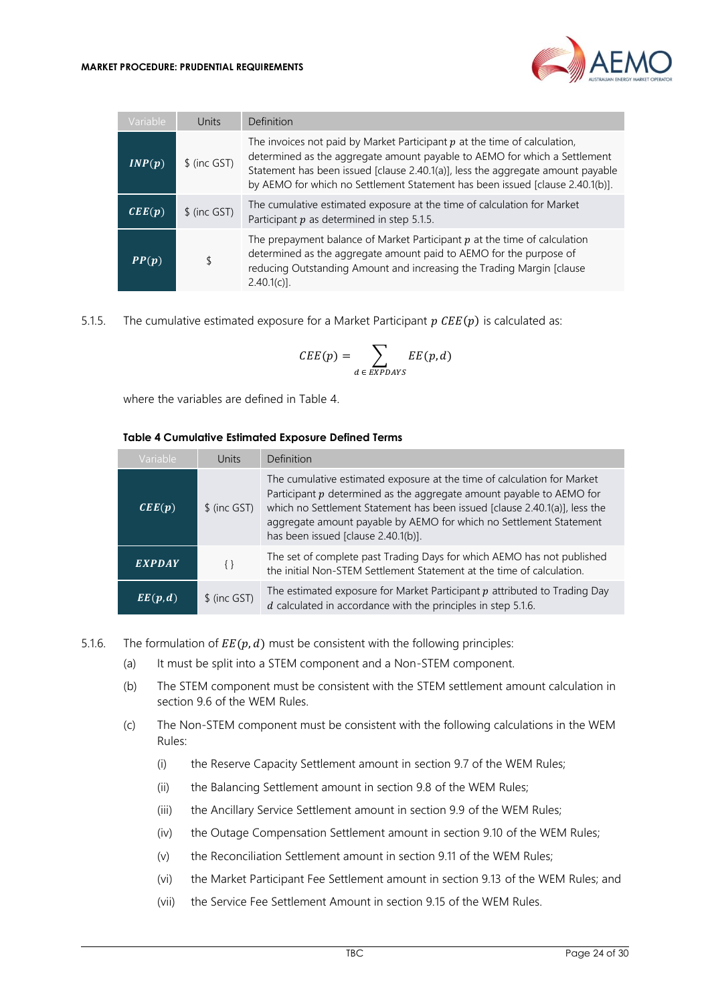

| Variable                   | Units         | Definition                                                                                                                                                                                                                                                                                                                   |
|----------------------------|---------------|------------------------------------------------------------------------------------------------------------------------------------------------------------------------------------------------------------------------------------------------------------------------------------------------------------------------------|
| INP(p)                     | $$$ (inc GST) | The invoices not paid by Market Participant $p$ at the time of calculation,<br>determined as the aggregate amount payable to AEMO for which a Settlement<br>Statement has been issued [clause 2.40.1(a)], less the aggregate amount payable<br>by AEMO for which no Settlement Statement has been issued [clause 2.40.1(b)]. |
| $\mathbf{CEE}(\mathbf{p})$ | $$$ (inc GST) | The cumulative estimated exposure at the time of calculation for Market<br>Participant $p$ as determined in step 5.1.5.                                                                                                                                                                                                      |
| PP(p)                      |               | The prepayment balance of Market Participant $p$ at the time of calculation<br>determined as the aggregate amount paid to AEMO for the purpose of<br>reducing Outstanding Amount and increasing the Trading Margin [clause<br>$2.40.1(c)$ ].                                                                                 |

<span id="page-23-0"></span>5.1.5. The cumulative estimated exposure for a Market Participant  $p \text{ } CEE(p)$  is calculated as:

$$
CEE(p) = \sum_{d \,\in\, EXPDAYS} EE(p,d)
$$

where the variables are defined in Table 4.

#### **Table 4 Cumulative Estimated Exposure Defined Terms**

| Variable                            | Units         | Definition                                                                                                                                                                                                                                                                                                                                   |
|-------------------------------------|---------------|----------------------------------------------------------------------------------------------------------------------------------------------------------------------------------------------------------------------------------------------------------------------------------------------------------------------------------------------|
| $\mathbf{C} \mathbf{E}(\mathbf{p})$ | $$$ (inc GST) | The cumulative estimated exposure at the time of calculation for Market<br>Participant $p$ determined as the aggregate amount payable to AEMO for<br>which no Settlement Statement has been issued [clause 2.40.1(a)], less the<br>aggregate amount payable by AEMO for which no Settlement Statement<br>has been issued [clause 2.40.1(b)]. |
| <b>EXPDAY</b>                       | $\{\}$        | The set of complete past Trading Days for which AEMO has not published<br>the initial Non-STEM Settlement Statement at the time of calculation.                                                                                                                                                                                              |
| EE(p,d)                             | \$ (inc GST)  | The estimated exposure for Market Participant $p$ attributed to Trading Day<br>$d$ calculated in accordance with the principles in step 5.1.6.                                                                                                                                                                                               |

- <span id="page-23-1"></span>5.1.6. The formulation of  $EE(p, d)$  must be consistent with the following principles:
	- (a) It must be split into a STEM component and a Non-STEM component.
	- (b) The STEM component must be consistent with the STEM settlement amount calculation in section 9.6 of the WEM Rules.
	- (c) The Non-STEM component must be consistent with the following calculations in the WEM Rules:
		- (i) the Reserve Capacity Settlement amount in section 9.7 of the WEM Rules;
		- (ii) the Balancing Settlement amount in section 9.8 of the WEM Rules;
		- (iii) the Ancillary Service Settlement amount in section 9.9 of the WEM Rules;
		- (iv) the Outage Compensation Settlement amount in section 9.10 of the WEM Rules;
		- (v) the Reconciliation Settlement amount in section 9.11 of the WEM Rules;
		- (vi) the Market Participant Fee Settlement amount in section 9.13 of the WEM Rules; and
		- (vii) the Service Fee Settlement Amount in section 9.15 of the WEM Rules.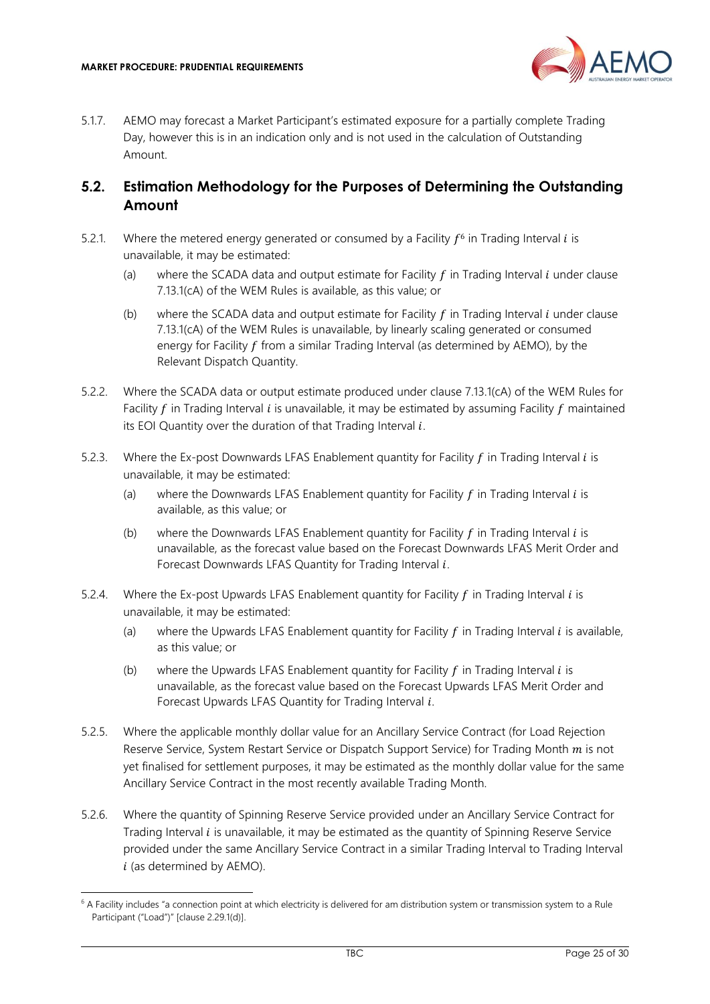

5.1.7. AEMO may forecast a Market Participant's estimated exposure for a partially complete Trading Day, however this is in an indication only and is not used in the calculation of Outstanding Amount.

#### <span id="page-24-0"></span>**5.2. Estimation Methodology for the Purposes of Determining the Outstanding Amount**

- 5.2.1. Where the metered energy generated or consumed by a Facility  $f^6$  in Trading Interval *i* is unavailable, it may be estimated:
	- (a) where the SCADA data and output estimate for Facility  $f$  in Trading Interval  $i$  under clause 7.13.1(cA) of the WEM Rules is available, as this value; or
	- (b) where the SCADA data and output estimate for Facility  $f$  in Trading Interval  $i$  under clause 7.13.1(cA) of the WEM Rules is unavailable, by linearly scaling generated or consumed energy for Facility  $f$  from a similar Trading Interval (as determined by AEMO), by the Relevant Dispatch Quantity.
- 5.2.2. Where the SCADA data or output estimate produced under clause 7.13.1(cA) of the WEM Rules for Facility  $f$  in Trading Interval  $i$  is unavailable, it may be estimated by assuming Facility  $f$  maintained its EOI Quantity over the duration of that Trading Interval  $i$ .
- 5.2.3. Where the Ex-post Downwards LFAS Enablement quantity for Facility  $f$  in Trading Interval  $i$  is unavailable, it may be estimated:
	- (a) where the Downwards LFAS Enablement quantity for Facility  $f$  in Trading Interval  $i$  is available, as this value; or
	- (b) where the Downwards LFAS Enablement quantity for Facility  $f$  in Trading Interval  $i$  is unavailable, as the forecast value based on the Forecast Downwards LFAS Merit Order and Forecast Downwards LFAS Quantity for Trading Interval  $i$ .
- 5.2.4. Where the Ex-post Upwards LFAS Enablement quantity for Facility  $f$  in Trading Interval  $i$  is unavailable, it may be estimated:
	- (a) where the Upwards LFAS Enablement quantity for Facility  $f$  in Trading Interval  $i$  is available, as this value; or
	- (b) where the Upwards LFAS Enablement quantity for Facility  $f$  in Trading Interval  $i$  is unavailable, as the forecast value based on the Forecast Upwards LFAS Merit Order and Forecast Upwards LFAS Quantity for Trading Interval  $i$ .
- 5.2.5. Where the applicable monthly dollar value for an Ancillary Service Contract (for Load Rejection Reserve Service, System Restart Service or Dispatch Support Service) for Trading Month  $m$  is not yet finalised for settlement purposes, it may be estimated as the monthly dollar value for the same Ancillary Service Contract in the most recently available Trading Month.
- 5.2.6. Where the quantity of Spinning Reserve Service provided under an Ancillary Service Contract for Trading Interval *i* is unavailable, it may be estimated as the quantity of Spinning Reserve Service provided under the same Ancillary Service Contract in a similar Trading Interval to Trading Interval  $i$  (as determined by AEMO).

 $6$  A Facility includes "a connection point at which electricity is delivered for am distribution system or transmission system to a Rule Participant ("Load")" [clause 2.29.1(d)].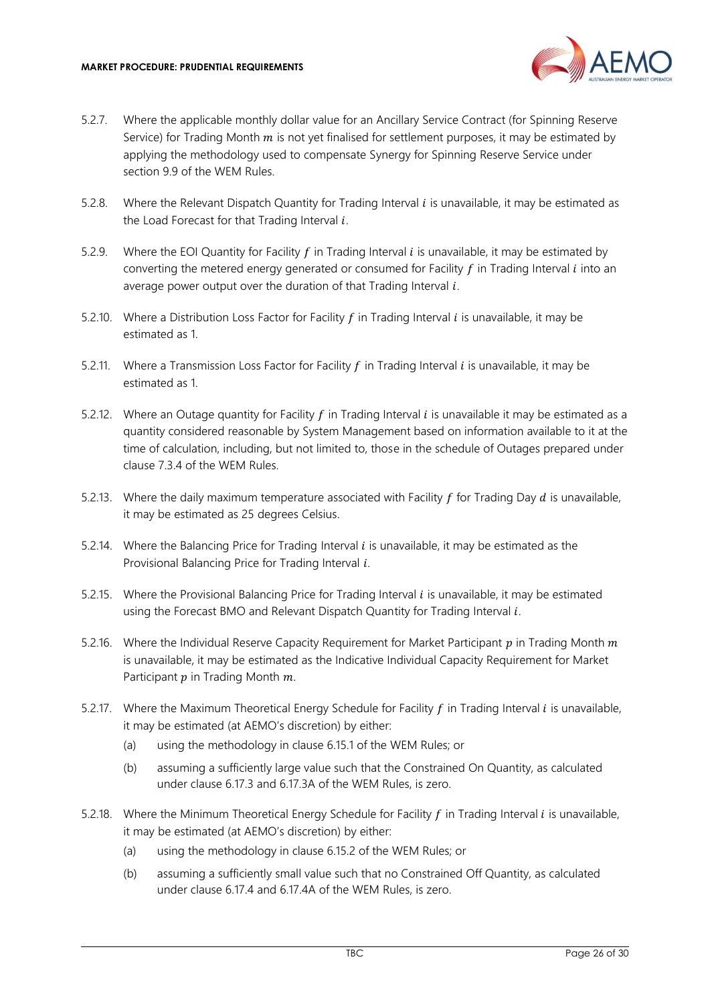

- 5.2.7. Where the applicable monthly dollar value for an Ancillary Service Contract (for Spinning Reserve Service) for Trading Month  $m$  is not yet finalised for settlement purposes, it may be estimated by applying the methodology used to compensate Synergy for Spinning Reserve Service under section 9.9 of the WEM Rules.
- 5.2.8. Where the Relevant Dispatch Quantity for Trading Interval  $i$  is unavailable, it may be estimated as the Load Forecast for that Trading Interval  $i$ .
- 5.2.9. Where the EOI Quantity for Facility  $f$  in Trading Interval  $i$  is unavailable, it may be estimated by converting the metered energy generated or consumed for Facility  $f$  in Trading Interval  $i$  into an average power output over the duration of that Trading Interval  $i$ .
- 5.2.10. Where a Distribution Loss Factor for Facility  $f$  in Trading Interval  $i$  is unavailable, it may be estimated as 1.
- 5.2.11. Where a Transmission Loss Factor for Facility  $f$  in Trading Interval  $i$  is unavailable, it may be estimated as 1.
- 5.2.12. Where an Outage quantity for Facility  $f$  in Trading Interval  $i$  is unavailable it may be estimated as a quantity considered reasonable by System Management based on information available to it at the time of calculation, including, but not limited to, those in the schedule of Outages prepared under clause 7.3.4 of the WEM Rules.
- 5.2.13. Where the daily maximum temperature associated with Facility  $f$  for Trading Day  $d$  is unavailable, it may be estimated as 25 degrees Celsius.
- 5.2.14. Where the Balancing Price for Trading Interval  $i$  is unavailable, it may be estimated as the Provisional Balancing Price for Trading Interval  $i$ .
- 5.2.15. Where the Provisional Balancing Price for Trading Interval  $i$  is unavailable, it may be estimated using the Forecast BMO and Relevant Dispatch Quantity for Trading Interval i.
- 5.2.16. Where the Individual Reserve Capacity Requirement for Market Participant  $p$  in Trading Month  $m$ is unavailable, it may be estimated as the Indicative Individual Capacity Requirement for Market Participant  $p$  in Trading Month  $m$ .
- 5.2.17. Where the Maximum Theoretical Energy Schedule for Facility  $f$  in Trading Interval  $i$  is unavailable, it may be estimated (at AEMO's discretion) by either:
	- (a) using the methodology in clause 6.15.1 of the WEM Rules; or
	- (b) assuming a sufficiently large value such that the Constrained On Quantity, as calculated under clause 6.17.3 and 6.17.3A of the WEM Rules, is zero.
- 5.2.18. Where the Minimum Theoretical Energy Schedule for Facility  $f$  in Trading Interval  $i$  is unavailable, it may be estimated (at AEMO's discretion) by either:
	- (a) using the methodology in clause 6.15.2 of the WEM Rules; or
	- (b) assuming a sufficiently small value such that no Constrained Off Quantity, as calculated under clause 6.17.4 and 6.17.4A of the WEM Rules, is zero.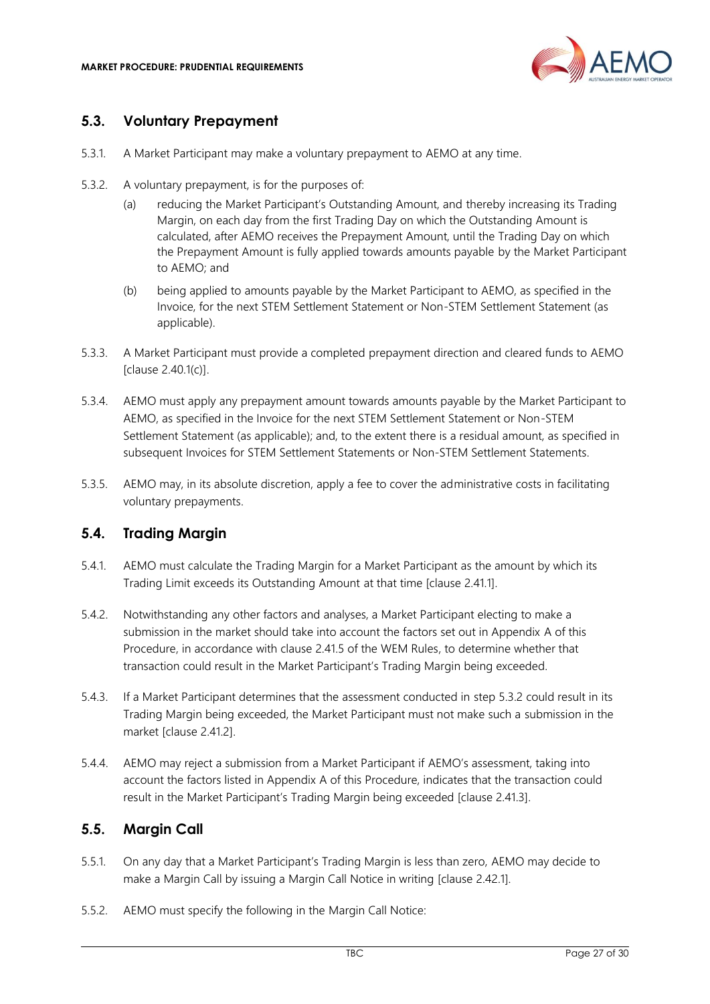

#### <span id="page-26-0"></span>**5.3. Voluntary Prepayment**

- 5.3.1. A Market Participant may make a voluntary prepayment to AEMO at any time.
- 5.3.2. A voluntary prepayment, is for the purposes of:
	- (a) reducing the Market Participant's Outstanding Amount, and thereby increasing its Trading Margin, on each day from the first Trading Day on which the Outstanding Amount is calculated, after AEMO receives the Prepayment Amount, until the Trading Day on which the Prepayment Amount is fully applied towards amounts payable by the Market Participant to AEMO; and
	- (b) being applied to amounts payable by the Market Participant to AEMO, as specified in the Invoice, for the next STEM Settlement Statement or Non-STEM Settlement Statement (as applicable).
- 5.3.3. A Market Participant must provide a completed prepayment direction and cleared funds to AEMO [clause 2.40.1(c)].
- 5.3.4. AEMO must apply any prepayment amount towards amounts payable by the Market Participant to AEMO, as specified in the Invoice for the next STEM Settlement Statement or Non-STEM Settlement Statement (as applicable); and, to the extent there is a residual amount, as specified in subsequent Invoices for STEM Settlement Statements or Non-STEM Settlement Statements.
- 5.3.5. AEMO may, in its absolute discretion, apply a fee to cover the administrative costs in facilitating voluntary prepayments.

#### <span id="page-26-1"></span>**5.4. Trading Margin**

- 5.4.1. AEMO must calculate the Trading Margin for a Market Participant as the amount by which its Trading Limit exceeds its Outstanding Amount at that time [clause 2.41.1].
- 5.4.2. Notwithstanding any other factors and analyses, a Market Participant electing to make a submission in the market should take into account the factors set out in Appendix A of this Procedure, in accordance with clause 2.41.5 of the WEM Rules, to determine whether that transaction could result in the Market Participant's Trading Margin being exceeded.
- 5.4.3. If a Market Participant determines that the assessment conducted in step 5.3.2 could result in its Trading Margin being exceeded, the Market Participant must not make such a submission in the market [clause 2.41.2].
- 5.4.4. AEMO may reject a submission from a Market Participant if AEMO's assessment, taking into account the factors listed in Appendix A of this Procedure, indicates that the transaction could result in the Market Participant's Trading Margin being exceeded [clause 2.41.3].

#### <span id="page-26-2"></span>**5.5. Margin Call**

- 5.5.1. On any day that a Market Participant's Trading Margin is less than zero, AEMO may decide to make a Margin Call by issuing a Margin Call Notice in writing [clause 2.42.1].
- 5.5.2. AEMO must specify the following in the Margin Call Notice: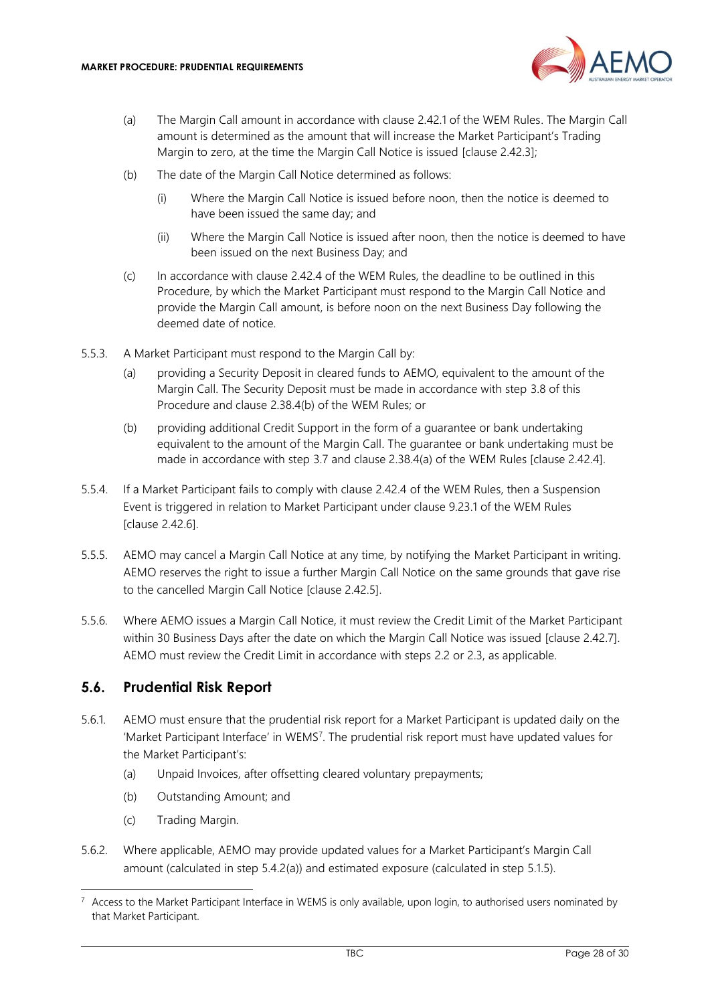

- <span id="page-27-1"></span>(a) The Margin Call amount in accordance with clause 2.42.1 of the WEM Rules. The Margin Call amount is determined as the amount that will increase the Market Participant's Trading Margin to zero, at the time the Margin Call Notice is issued [clause 2.42.3];
- (b) The date of the Margin Call Notice determined as follows:
	- (i) Where the Margin Call Notice is issued before noon, then the notice is deemed to have been issued the same day; and
	- (ii) Where the Margin Call Notice is issued after noon, then the notice is deemed to have been issued on the next Business Day; and
- (c) In accordance with clause 2.42.4 of the WEM Rules, the deadline to be outlined in this Procedure, by which the Market Participant must respond to the Margin Call Notice and provide the Margin Call amount, is before noon on the next Business Day following the deemed date of notice.
- 5.5.3. A Market Participant must respond to the Margin Call by:
	- (a) providing a Security Deposit in cleared funds to AEMO, equivalent to the amount of the Margin Call. The Security Deposit must be made in accordance with step [3.8](#page-18-0) of this Procedure and clause 2.38.4(b) of the WEM Rules; or
	- (b) providing additional Credit Support in the form of a guarantee or bank undertaking equivalent to the amount of the Margin Call. The guarantee or bank undertaking must be made in accordance with step [3.7](#page-17-0) and clause 2.38.4(a) of the WEM Rules [clause 2.42.4].
- 5.5.4. If a Market Participant fails to comply with clause 2.42.4 of the WEM Rules, then a Suspension Event is triggered in relation to Market Participant under clause 9.23.1 of the WEM Rules [clause 2.42.6].
- 5.5.5. AEMO may cancel a Margin Call Notice at any time, by notifying the Market Participant in writing. AEMO reserves the right to issue a further Margin Call Notice on the same grounds that gave rise to the cancelled Margin Call Notice [clause 2.42.5].
- 5.5.6. Where AEMO issues a Margin Call Notice, it must review the Credit Limit of the Market Participant within 30 Business Days after the date on which the Margin Call Notice was issued [clause 2.42.7]. AEMO must review the Credit Limit in accordance with steps [2.2](#page-7-2) or [2.3,](#page-9-0) as applicable.

#### <span id="page-27-0"></span>**5.6. Prudential Risk Report**

- 5.6.1. AEMO must ensure that the prudential risk report for a Market Participant is updated daily on the 'Market Participant Interface' in WEMS<sup>7</sup> . The prudential risk report must have updated values for the Market Participant's:
	- (a) Unpaid Invoices, after offsetting cleared voluntary prepayments;
	- (b) Outstanding Amount; and
	- (c) Trading Margin.
- 5.6.2. Where applicable, AEMO may provide updated values for a Market Participant's Margin Call amount (calculated in step 5.4.[2\(a\)\)](#page-27-1) and estimated exposure (calculated in step 5.1.5).

 $7$  Access to the Market Participant Interface in WEMS is only available, upon login, to authorised users nominated by that Market Participant.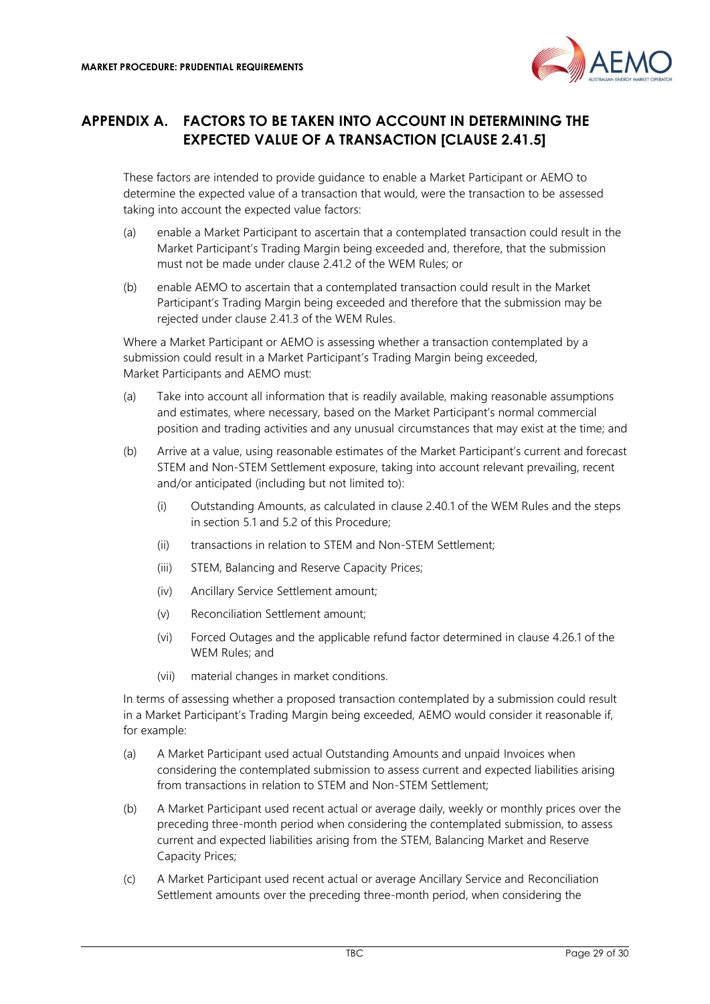

### <span id="page-28-0"></span>**APPENDIX A. FACTORS TO BE TAKEN INTO ACCOUNT IN DETERMINING THE EXPECTED VALUE OF A TRANSACTION [CLAUSE 2.41.5]**

These factors are intended to provide guidance to enable a Market Participant or AEMO to determine the expected value of a transaction that would, were the transaction to be assessed taking into account the expected value factors:

- (a) enable a Market Participant to ascertain that a contemplated transaction could result in the Market Participant's Trading Margin being exceeded and, therefore, that the submission must not be made under clause 2.41.2 of the WEM Rules; or
- (b) enable AEMO to ascertain that a contemplated transaction could result in the Market Participant's Trading Margin being exceeded and therefore that the submission may be rejected under clause 2.41.3 of the WEM Rules.

Where a Market Participant or AEMO is assessing whether a transaction contemplated by a submission could result in a Market Participant's Trading Margin being exceeded, Market Participants and AEMO must:

- (a) Take into account all information that is readily available, making reasonable assumptions and estimates, where necessary, based on the Market Participant's normal commercial position and trading activities and any unusual circumstances that may exist at the time; and
- (b) Arrive at a value, using reasonable estimates of the Market Participant's current and forecast STEM and Non-STEM Settlement exposure, taking into account relevant prevailing, recent and/or anticipated (including but not limited to):
	- (i) Outstanding Amounts, as calculated in clause 2.40.1 of the WEM Rules and the steps in section [5.1](#page-22-1) and 5.2 of this Procedure;
	- (ii) transactions in relation to STEM and Non-STEM Settlement;
	- (iii) STEM, Balancing and Reserve Capacity Prices;
	- (iv) Ancillary Service Settlement amount;
	- (v) Reconciliation Settlement amount;
	- (vi) Forced Outages and the applicable refund factor determined in clause 4.26.1 of the WEM Rules; and
	- (vii) material changes in market conditions.

In terms of assessing whether a proposed transaction contemplated by a submission could result in a Market Participant's Trading Margin being exceeded, AEMO would consider it reasonable if, for example:

- (a) A Market Participant used actual Outstanding Amounts and unpaid Invoices when considering the contemplated submission to assess current and expected liabilities arising from transactions in relation to STEM and Non-STEM Settlement;
- (b) A Market Participant used recent actual or average daily, weekly or monthly prices over the preceding three-month period when considering the contemplated submission, to assess current and expected liabilities arising from the STEM, Balancing Market and Reserve Capacity Prices;
- (c) A Market Participant used recent actual or average Ancillary Service and Reconciliation Settlement amounts over the preceding three-month period, when considering the